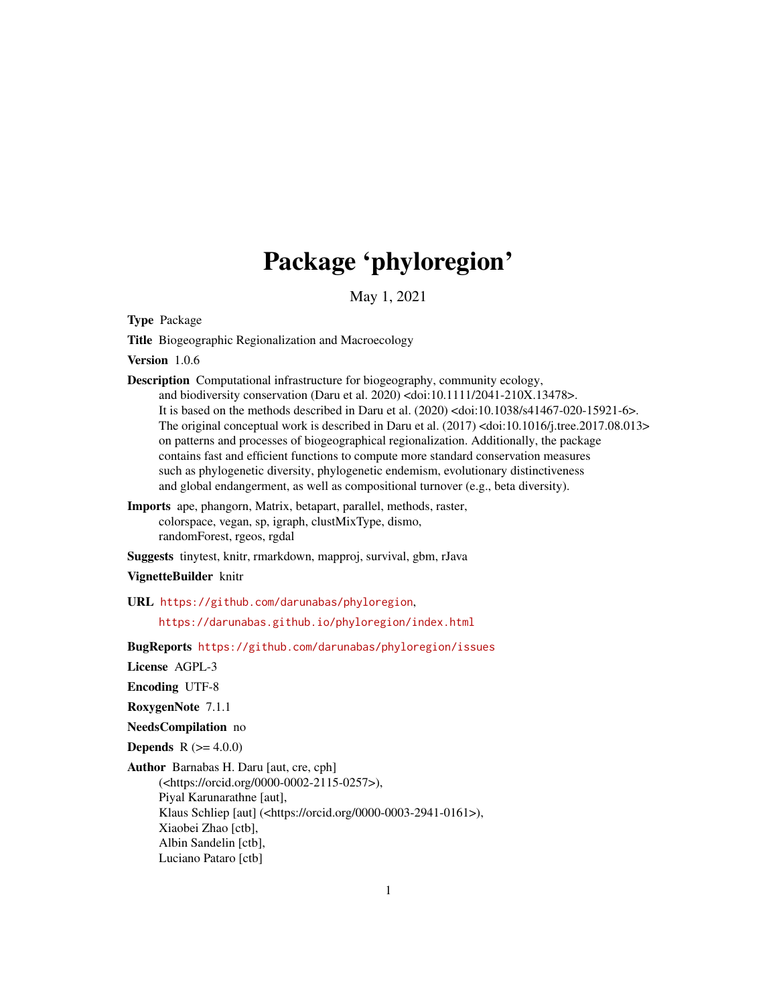# Package 'phyloregion'

May 1, 2021

<span id="page-0-0"></span>Type Package

Title Biogeographic Regionalization and Macroecology

Version 1.0.6

Description Computational infrastructure for biogeography, community ecology,

and biodiversity conservation (Daru et al. 2020) <doi:10.1111/2041-210X.13478>. It is based on the methods described in Daru et al. (2020) <doi:10.1038/s41467-020-15921-6>. The original conceptual work is described in Daru et al. (2017) <doi:10.1016/j.tree.2017.08.013> on patterns and processes of biogeographical regionalization. Additionally, the package contains fast and efficient functions to compute more standard conservation measures such as phylogenetic diversity, phylogenetic endemism, evolutionary distinctiveness and global endangerment, as well as compositional turnover (e.g., beta diversity).

Imports ape, phangorn, Matrix, betapart, parallel, methods, raster, colorspace, vegan, sp, igraph, clustMixType, dismo, randomForest, rgeos, rgdal

Suggests tinytest, knitr, rmarkdown, mapproj, survival, gbm, rJava

#### VignetteBuilder knitr

URL <https://github.com/darunabas/phyloregion>,

<https://darunabas.github.io/phyloregion/index.html>

BugReports <https://github.com/darunabas/phyloregion/issues>

License AGPL-3

Encoding UTF-8

RoxygenNote 7.1.1

NeedsCompilation no

**Depends**  $R (= 4.0.0)$ 

Author Barnabas H. Daru [aut, cre, cph]

(<https://orcid.org/0000-0002-2115-0257>), Piyal Karunarathne [aut], Klaus Schliep [aut] (<https://orcid.org/0000-0003-2941-0161>), Xiaobei Zhao [ctb], Albin Sandelin [ctb], Luciano Pataro [ctb]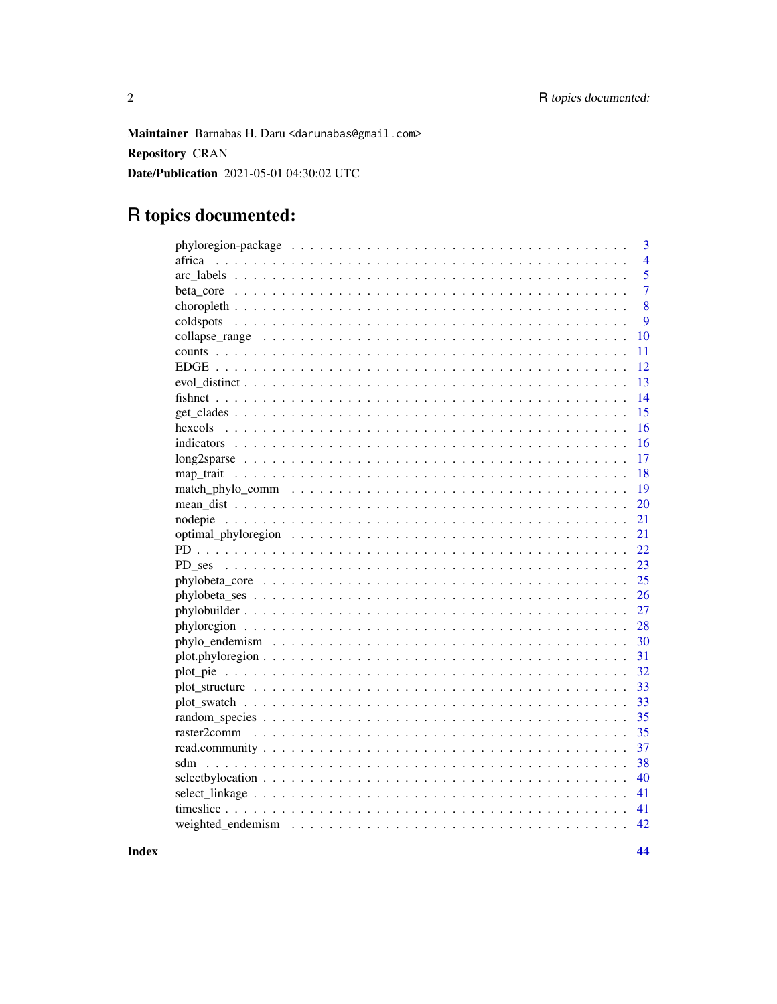Maintainer Barnabas H. Daru <darunabas@gmail.com> **Repository CRAN** Date/Publication 2021-05-01 04:30:02 UTC

## R topics documented:

|                                                                                                                | 3              |
|----------------------------------------------------------------------------------------------------------------|----------------|
| africa                                                                                                         | $\overline{4}$ |
|                                                                                                                | 5              |
|                                                                                                                | $\overline{7}$ |
|                                                                                                                | 8              |
|                                                                                                                | 9              |
|                                                                                                                | 10             |
|                                                                                                                | 11             |
|                                                                                                                | 12             |
|                                                                                                                | 13             |
|                                                                                                                | 14             |
|                                                                                                                | 15             |
|                                                                                                                | 16             |
|                                                                                                                | 16             |
|                                                                                                                | 17             |
|                                                                                                                | 18             |
|                                                                                                                | 19             |
|                                                                                                                | 20             |
|                                                                                                                | 21             |
|                                                                                                                | 21             |
|                                                                                                                | 22             |
|                                                                                                                | 23             |
|                                                                                                                | 25             |
|                                                                                                                | 26             |
|                                                                                                                | 27             |
|                                                                                                                | 28             |
|                                                                                                                | 30             |
| $plot. phyloregion \ldots \ldots \ldots \ldots \ldots \ldots \ldots \ldots \ldots \ldots \ldots \ldots \ldots$ | 31             |
|                                                                                                                | 32             |
|                                                                                                                | 33             |
|                                                                                                                | 33             |
|                                                                                                                | 35             |
|                                                                                                                | 35             |
|                                                                                                                | 37             |
|                                                                                                                | 38             |
|                                                                                                                | 40             |
|                                                                                                                | 41             |
|                                                                                                                | 41             |
|                                                                                                                | 42             |
|                                                                                                                |                |

**Index**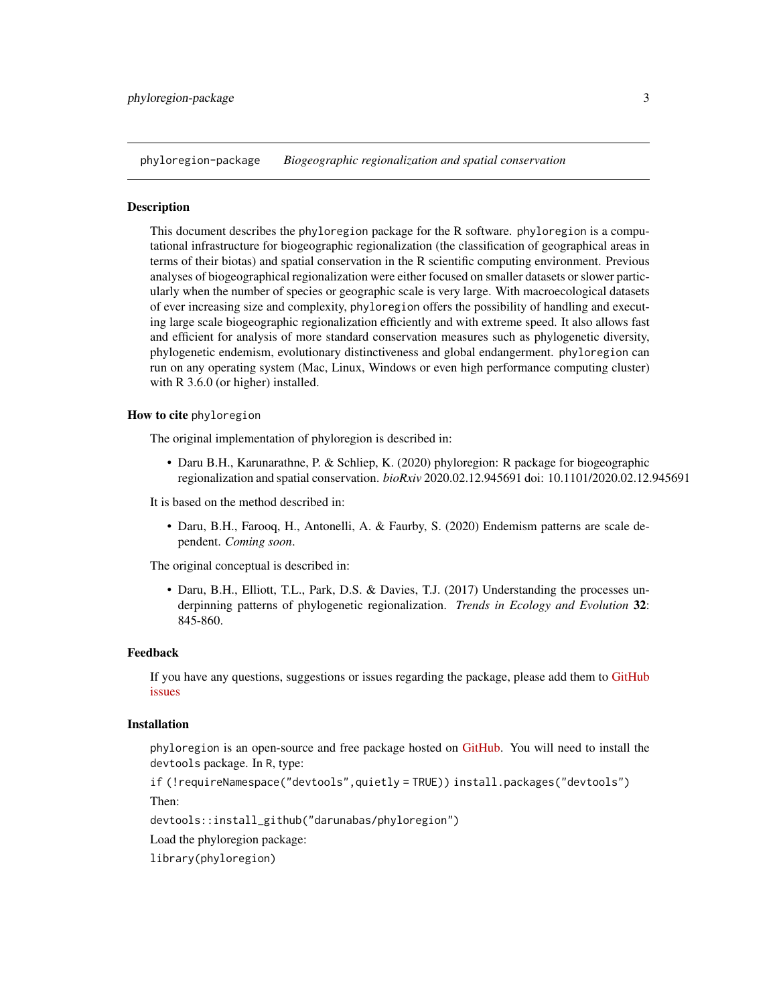<span id="page-2-0"></span>phyloregion-package *Biogeographic regionalization and spatial conservation*

#### Description

This document describes the phyloregion package for the R software. phyloregion is a computational infrastructure for biogeographic regionalization (the classification of geographical areas in terms of their biotas) and spatial conservation in the R scientific computing environment. Previous analyses of biogeographical regionalization were either focused on smaller datasets or slower particularly when the number of species or geographic scale is very large. With macroecological datasets of ever increasing size and complexity, phyloregion offers the possibility of handling and executing large scale biogeographic regionalization efficiently and with extreme speed. It also allows fast and efficient for analysis of more standard conservation measures such as phylogenetic diversity, phylogenetic endemism, evolutionary distinctiveness and global endangerment. phyloregion can run on any operating system (Mac, Linux, Windows or even high performance computing cluster) with R 3.6.0 (or higher) installed.

#### How to cite phyloregion

The original implementation of phyloregion is described in:

• Daru B.H., Karunarathne, P. & Schliep, K. (2020) phyloregion: R package for biogeographic regionalization and spatial conservation. *bioRxiv* 2020.02.12.945691 doi: 10.1101/2020.02.12.945691

It is based on the method described in:

• Daru, B.H., Farooq, H., Antonelli, A. & Faurby, S. (2020) Endemism patterns are scale dependent. *Coming soon*.

The original conceptual is described in:

• Daru, B.H., Elliott, T.L., Park, D.S. & Davies, T.J. (2017) Understanding the processes underpinning patterns of phylogenetic regionalization. *Trends in Ecology and Evolution* 32: 845-860.

#### Feedback

If you have any questions, suggestions or issues regarding the package, please add them to [GitHub](https://github.com/darunabas/phyloregion/issues) [issues](https://github.com/darunabas/phyloregion/issues)

#### Installation

phyloregion is an open-source and free package hosted on [GitHub.](https://github.com/darunabas/phyloregion) You will need to install the devtools package. In R, type:

if (!requireNamespace("devtools",quietly = TRUE)) install.packages("devtools")

Then:

devtools::install\_github("darunabas/phyloregion")

Load the phyloregion package:

library(phyloregion)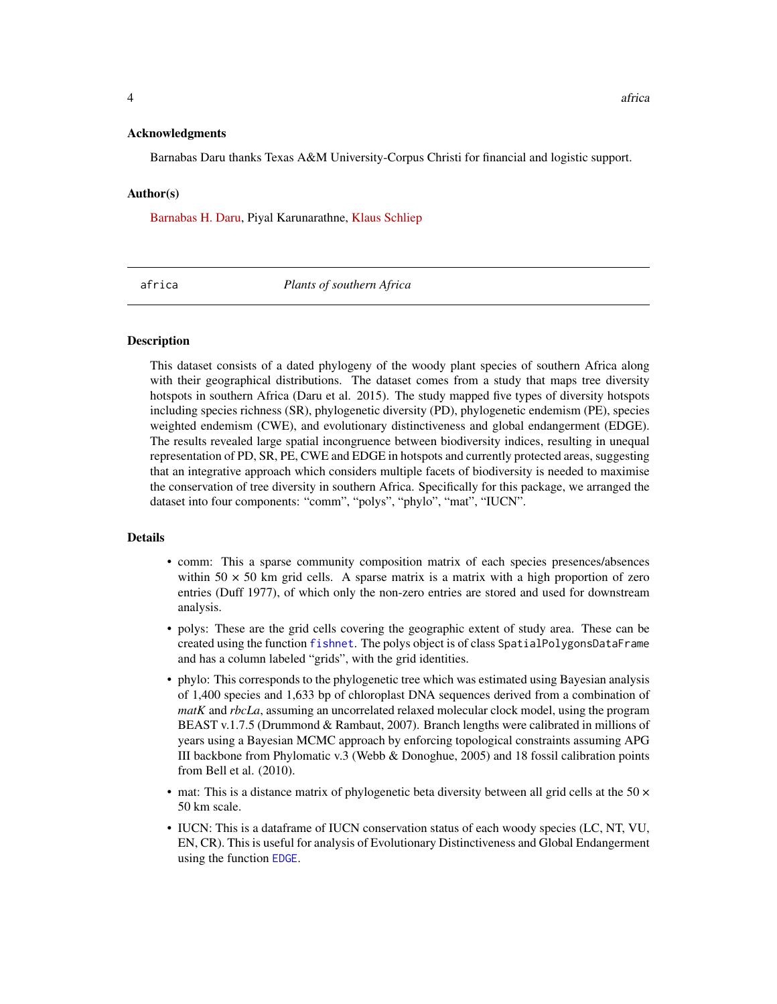#### <span id="page-3-0"></span>Acknowledgments

Barnabas Daru thanks Texas A&M University-Corpus Christi for financial and logistic support.

#### Author(s)

[Barnabas H. Daru,](https://barnabasdaru.com/) Piyal Karunarathne, [Klaus Schliep](https://kschliep.netlify.app/)

africa *Plants of southern Africa*

#### **Description**

This dataset consists of a dated phylogeny of the woody plant species of southern Africa along with their geographical distributions. The dataset comes from a study that maps tree diversity hotspots in southern Africa (Daru et al. 2015). The study mapped five types of diversity hotspots including species richness (SR), phylogenetic diversity (PD), phylogenetic endemism (PE), species weighted endemism (CWE), and evolutionary distinctiveness and global endangerment (EDGE). The results revealed large spatial incongruence between biodiversity indices, resulting in unequal representation of PD, SR, PE, CWE and EDGE in hotspots and currently protected areas, suggesting that an integrative approach which considers multiple facets of biodiversity is needed to maximise the conservation of tree diversity in southern Africa. Specifically for this package, we arranged the dataset into four components: "comm", "polys", "phylo", "mat", "IUCN".

#### Details

- comm: This a sparse community composition matrix of each species presences/absences within  $50 \times 50$  km grid cells. A sparse matrix is a matrix with a high proportion of zero entries (Duff 1977), of which only the non-zero entries are stored and used for downstream analysis.
- polys: These are the grid cells covering the geographic extent of study area. These can be created using the function [fishnet](#page-13-1). The polys object is of class SpatialPolygonsDataFrame and has a column labeled "grids", with the grid identities.
- phylo: This corresponds to the phylogenetic tree which was estimated using Bayesian analysis of 1,400 species and 1,633 bp of chloroplast DNA sequences derived from a combination of *matK* and *rbcLa*, assuming an uncorrelated relaxed molecular clock model, using the program BEAST v.1.7.5 (Drummond & Rambaut, 2007). Branch lengths were calibrated in millions of years using a Bayesian MCMC approach by enforcing topological constraints assuming APG III backbone from Phylomatic v.3 (Webb & Donoghue, 2005) and 18 fossil calibration points from Bell et al. (2010).
- mat: This is a distance matrix of phylogenetic beta diversity between all grid cells at the 50  $\times$ 50 km scale.
- IUCN: This is a dataframe of IUCN conservation status of each woody species (LC, NT, VU, EN, CR). This is useful for analysis of Evolutionary Distinctiveness and Global Endangerment using the function [EDGE](#page-11-1).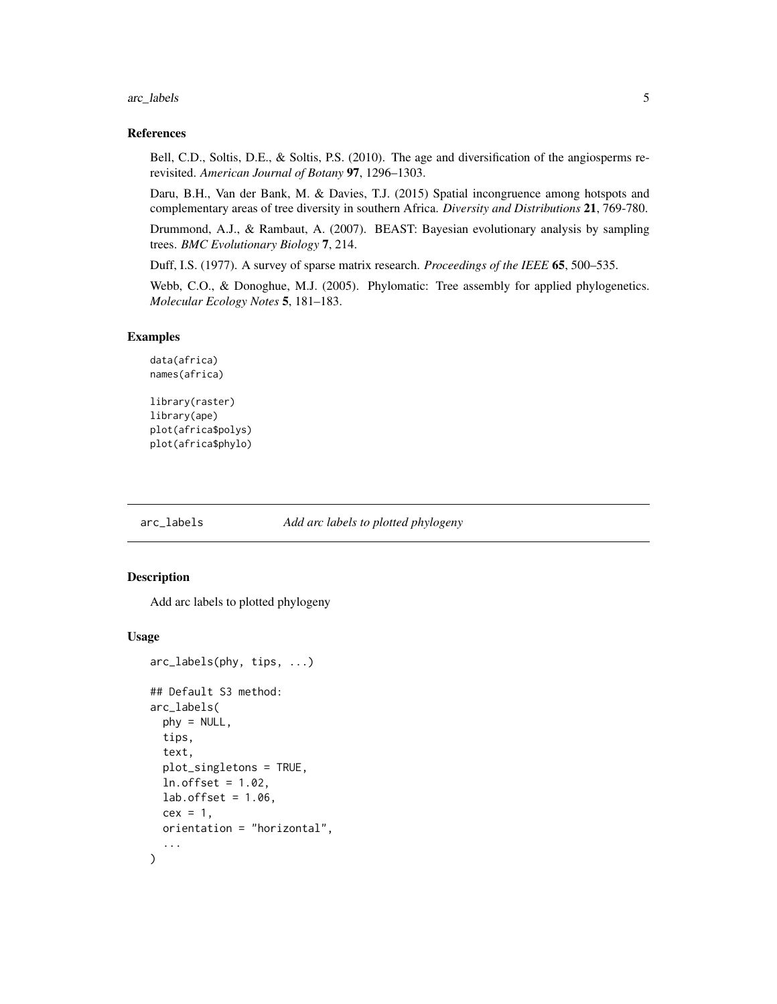<span id="page-4-0"></span>arc\_labels 5

#### References

Bell, C.D., Soltis, D.E., & Soltis, P.S. (2010). The age and diversification of the angiosperms rerevisited. *American Journal of Botany* 97, 1296–1303.

Daru, B.H., Van der Bank, M. & Davies, T.J. (2015) Spatial incongruence among hotspots and complementary areas of tree diversity in southern Africa. *Diversity and Distributions* 21, 769-780.

Drummond, A.J., & Rambaut, A. (2007). BEAST: Bayesian evolutionary analysis by sampling trees. *BMC Evolutionary Biology* 7, 214.

Duff, I.S. (1977). A survey of sparse matrix research. *Proceedings of the IEEE* 65, 500–535.

Webb, C.O., & Donoghue, M.J. (2005). Phylomatic: Tree assembly for applied phylogenetics. *Molecular Ecology Notes* 5, 181–183.

#### Examples

```
data(africa)
names(africa)
```

```
library(raster)
library(ape)
plot(africa$polys)
plot(africa$phylo)
```
arc\_labels *Add arc labels to plotted phylogeny*

#### Description

Add arc labels to plotted phylogeny

#### Usage

```
arc_labels(phy, tips, ...)
## Default S3 method:
arc_labels(
 phy = NULL,
  tips,
  text,
 plot_singletons = TRUE,
 ln.offset = 1.02,
 lab.offset = 1.06,
  cex = 1.
 orientation = "horizontal",
  ...
)
```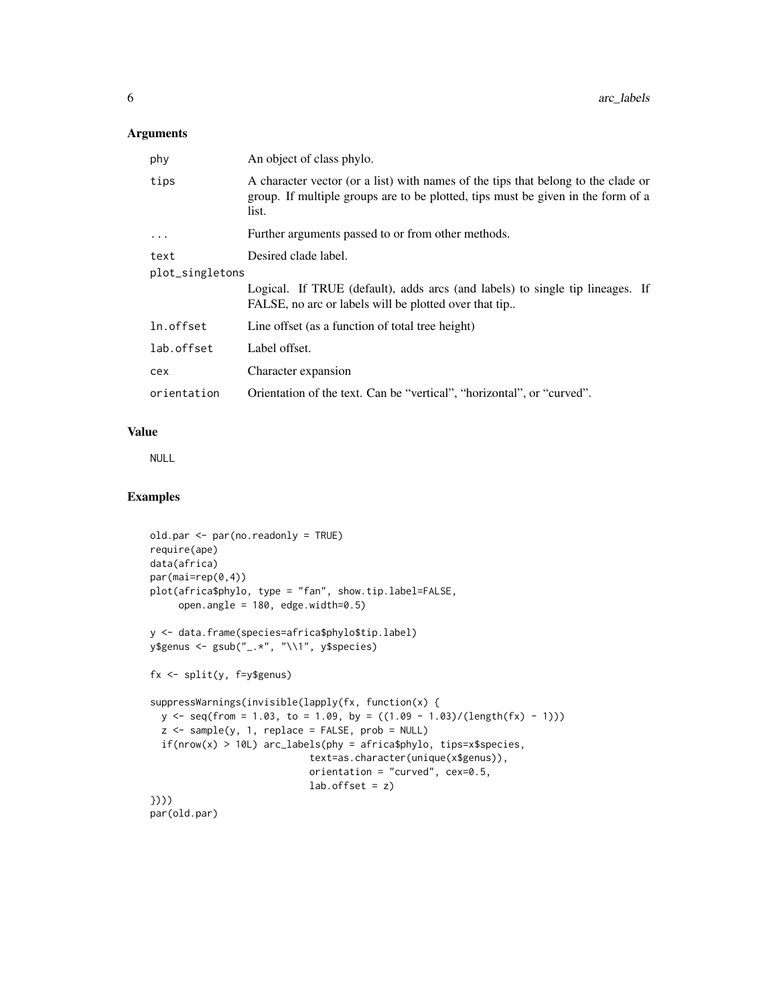## Arguments

| phy             | An object of class phylo.                                                                                                                                                      |  |
|-----------------|--------------------------------------------------------------------------------------------------------------------------------------------------------------------------------|--|
| tips            | A character vector (or a list) with names of the tips that belong to the clade or<br>group. If multiple groups are to be plotted, tips must be given in the form of a<br>list. |  |
| .               | Further arguments passed to or from other methods.                                                                                                                             |  |
| text            | Desired clade label.                                                                                                                                                           |  |
| plot_singletons |                                                                                                                                                                                |  |
|                 | Logical. If TRUE (default), adds arcs (and labels) to single tip lineages. If<br>FALSE, no arc or labels will be plotted over that tip                                         |  |
| ln.offset       | Line offset (as a function of total tree height)                                                                                                                               |  |
| lab.offset      | Label offset.                                                                                                                                                                  |  |
| cex             | Character expansion                                                                                                                                                            |  |
| orientation     | Orientation of the text. Can be "vertical", "horizontal", or "curved".                                                                                                         |  |

## Value

NULL

```
old.par <- par(no.readonly = TRUE)
require(ape)
data(africa)
par(mai=rep(0,4))
plot(africa$phylo, type = "fan", show.tip.label=FALSE,
     open.angle = 180, edge.width=0.5)
y <- data.frame(species=africa$phylo$tip.label)
y$genus <- gsub("_.*", "\\1", y$species)
fx <- split(y, f=y$genus)
suppressWarnings(invisible(lapply(fx, function(x) {
  y \le - seq(from = 1.03, to = 1.09, by = ((1.09 - 1.03)/(length(fx) - 1)))
  z <- sample(y, 1, replace = FALSE, prob = NULL)
  if(nrow(x) > 10L) arc_labels(phy = africa$phylo, tips=x$species,
                            text=as.character(unique(x$genus)),
                            orientation = "curved", cex=0.5,
                            lab.offset = z)})))
par(old.par)
```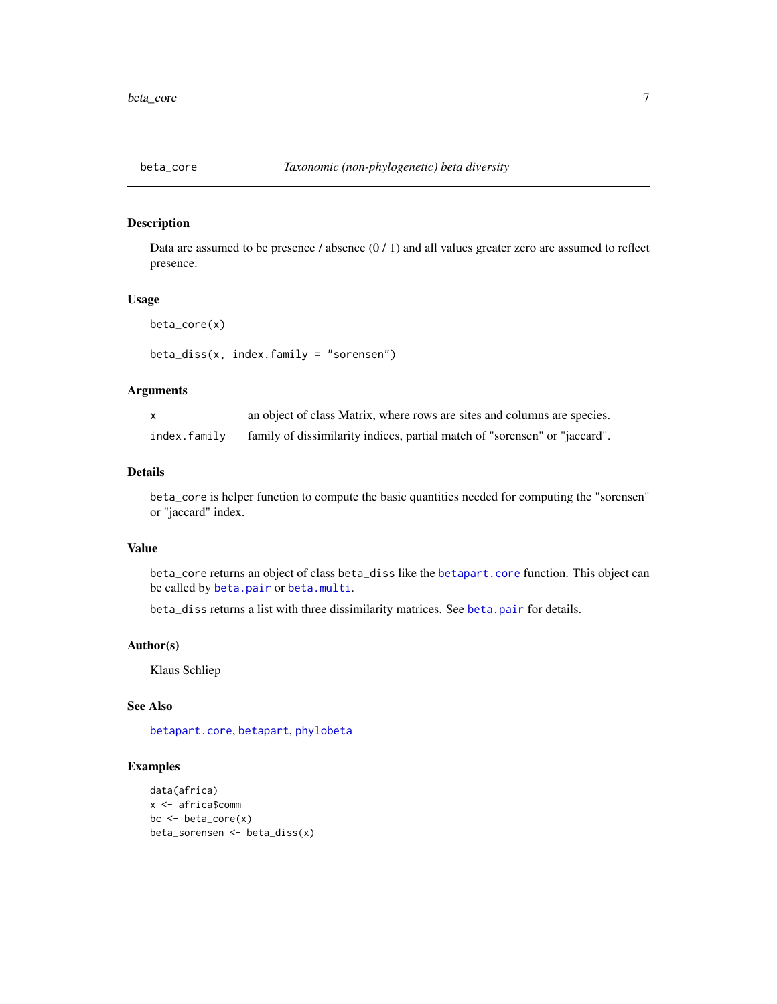<span id="page-6-1"></span><span id="page-6-0"></span>

Data are assumed to be presence  $/$  absence  $(0/1)$  and all values greater zero are assumed to reflect presence.

## Usage

beta\_core(x)

beta\_diss(x, index.family = "sorensen")

## Arguments

|              | an object of class Matrix, where rows are sites and columns are species.   |
|--------------|----------------------------------------------------------------------------|
| index.family | family of dissimilarity indices, partial match of "sorensen" or "jaccard". |

#### Details

beta\_core is helper function to compute the basic quantities needed for computing the "sorensen" or "jaccard" index.

#### Value

beta\_core returns an object of class beta\_diss like the [betapart.core](#page-0-0) function. This object can be called by [beta.pair](#page-0-0) or [beta.multi](#page-0-0).

beta\_diss returns a list with three dissimilarity matrices. See [beta.pair](#page-0-0) for details.

## Author(s)

Klaus Schliep

## See Also

[betapart.core](#page-0-0), [betapart](#page-0-0), [phylobeta](#page-24-1)

```
data(africa)
x <- africa$comm
bc <- beta_core(x)
beta_sorensen <- beta_diss(x)
```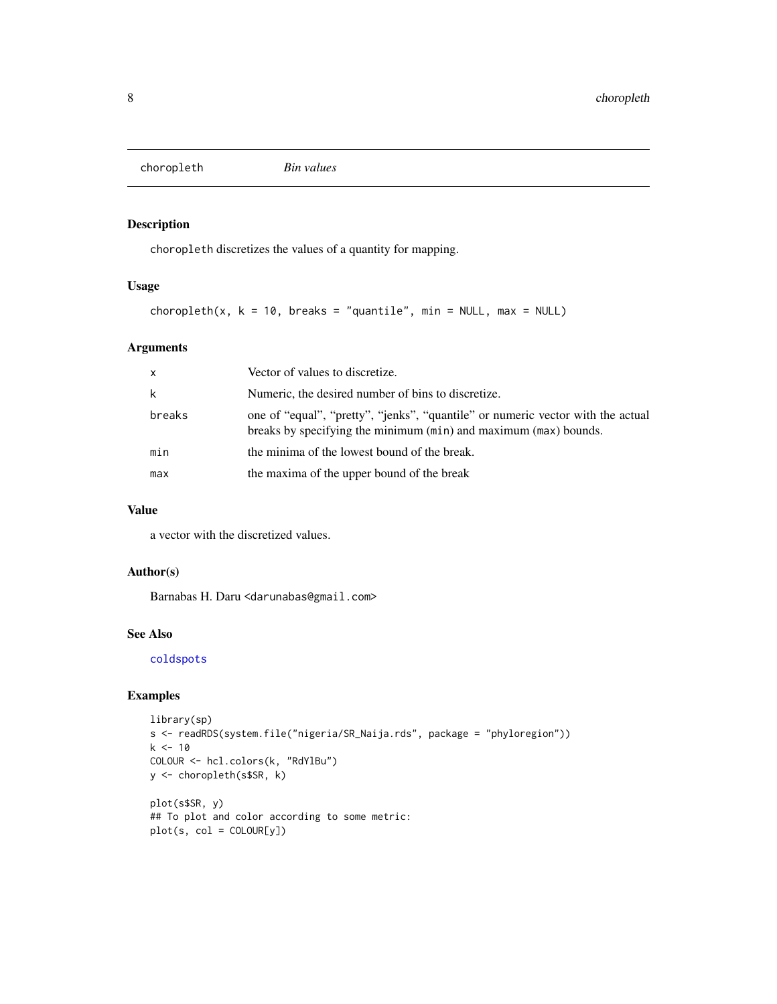<span id="page-7-1"></span><span id="page-7-0"></span>choropleth *Bin values*

## Description

choropleth discretizes the values of a quantity for mapping.

## Usage

choropleth(x,  $k = 10$ , breaks = "quantile", min = NULL, max = NULL)

## Arguments

| $\mathsf{x}$ | Vector of values to discretize.                                                                                                                     |
|--------------|-----------------------------------------------------------------------------------------------------------------------------------------------------|
| k            | Numeric, the desired number of bins to discretize.                                                                                                  |
| breaks       | one of "equal", "pretty", "jenks", "quantile" or numeric vector with the actual<br>breaks by specifying the minimum (min) and maximum (max) bounds. |
| min          | the minima of the lowest bound of the break.                                                                                                        |
| max          | the maxima of the upper bound of the break                                                                                                          |

## Value

a vector with the discretized values.

## Author(s)

Barnabas H. Daru <darunabas@gmail.com>

## See Also

[coldspots](#page-8-1)

```
library(sp)
s <- readRDS(system.file("nigeria/SR_Naija.rds", package = "phyloregion"))
k <- 10
COLOUR <- hcl.colors(k, "RdYlBu")
y <- choropleth(s$SR, k)
plot(s$SR, y)
## To plot and color according to some metric:
plot(s, col = COLOUR[y])
```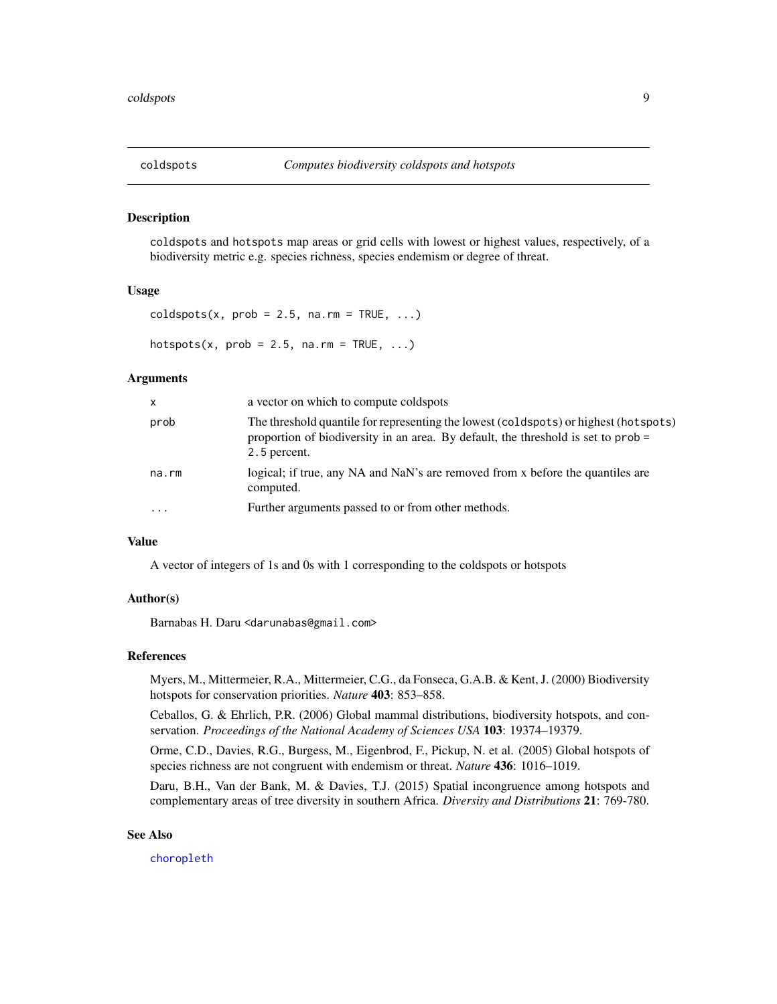<span id="page-8-1"></span><span id="page-8-0"></span>

coldspots and hotspots map areas or grid cells with lowest or highest values, respectively, of a biodiversity metric e.g. species richness, species endemism or degree of threat.

#### Usage

```
coldspots(x, prob = 2.5, na.rm = TRUE, ...)
```
hotspots(x,  $prob = 2.5$ ,  $na.rm = TRUE$ , ...)

#### Arguments

| X        | a vector on which to compute coldspots                                                                                                                                                      |
|----------|---------------------------------------------------------------------------------------------------------------------------------------------------------------------------------------------|
| prob     | The threshold quantile for representing the lowest (coldspots) or highest (hotspots)<br>proportion of biodiversity in an area. By default, the threshold is set to $prob =$<br>2.5 percent. |
| na.rm    | logical; if true, any NA and NaN's are removed from x before the quantiles are<br>computed.                                                                                                 |
| $\cdots$ | Further arguments passed to or from other methods.                                                                                                                                          |

#### Value

A vector of integers of 1s and 0s with 1 corresponding to the coldspots or hotspots

## Author(s)

Barnabas H. Daru <darunabas@gmail.com>

#### References

Myers, M., Mittermeier, R.A., Mittermeier, C.G., da Fonseca, G.A.B. & Kent, J. (2000) Biodiversity hotspots for conservation priorities. *Nature* 403: 853–858.

Ceballos, G. & Ehrlich, P.R. (2006) Global mammal distributions, biodiversity hotspots, and conservation. *Proceedings of the National Academy of Sciences USA* 103: 19374–19379.

Orme, C.D., Davies, R.G., Burgess, M., Eigenbrod, F., Pickup, N. et al. (2005) Global hotspots of species richness are not congruent with endemism or threat. *Nature* 436: 1016–1019.

Daru, B.H., Van der Bank, M. & Davies, T.J. (2015) Spatial incongruence among hotspots and complementary areas of tree diversity in southern Africa. *Diversity and Distributions* 21: 769-780.

#### See Also

[choropleth](#page-7-1)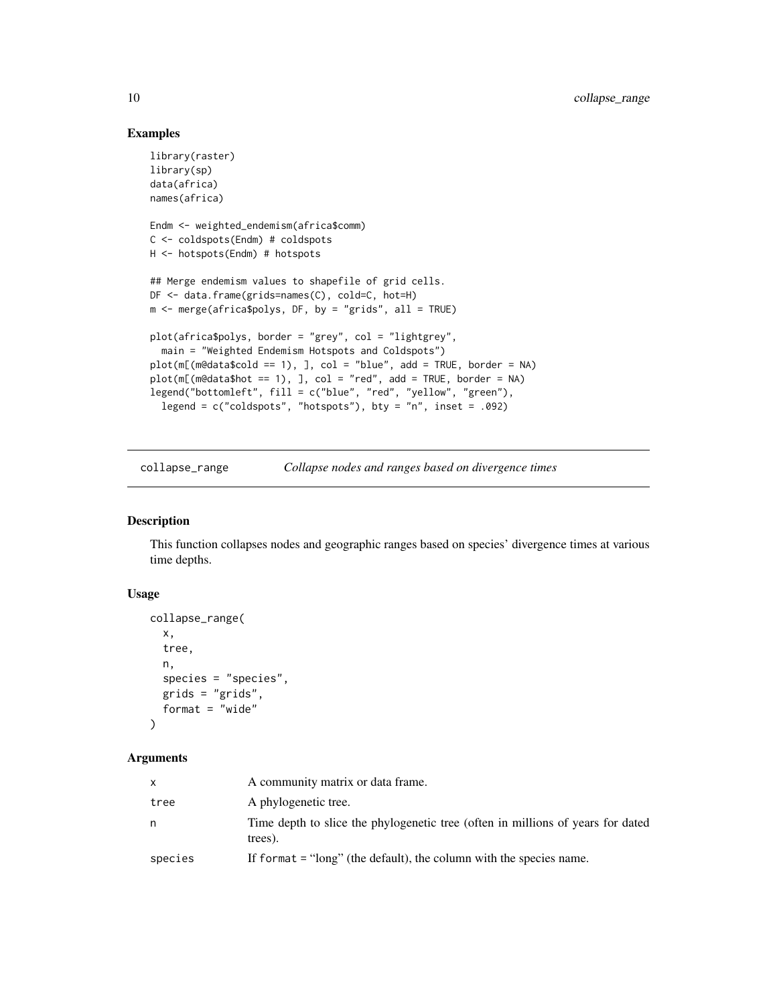## Examples

```
library(raster)
library(sp)
data(africa)
names(africa)
Endm <- weighted_endemism(africa$comm)
C <- coldspots(Endm) # coldspots
H <- hotspots(Endm) # hotspots
## Merge endemism values to shapefile of grid cells.
DF <- data.frame(grids=names(C), cold=C, hot=H)
m <- merge(africa$polys, DF, by = "grids", all = TRUE)
plot(africa$polys, border = "grey", col = "lightgrey",
  main = "Weighted Endemism Hotspots and Coldspots")
plot(m[(m@data\$cold == 1), ], col = "blue", add = TRUE, border = NA)plot(m[(m@data$hot == 1), ], col = "red", add = TRUE, border = NA)legend("bottomleft", fill = c("blue", "red", "yellow", "green"),
  legend = c("coldspots", "hotspots"), bty = "n", inset = .092)
```
collapse\_range *Collapse nodes and ranges based on divergence times*

## Description

This function collapses nodes and geographic ranges based on species' divergence times at various time depths.

#### Usage

```
collapse_range(
  x,
  tree,
 n,
  species = "species",
 grids = "grids",
 format = "wide"
)
```
#### Arguments

| X       | A community matrix or data frame.                                                          |
|---------|--------------------------------------------------------------------------------------------|
| tree    | A phylogenetic tree.                                                                       |
| n       | Time depth to slice the phylogenetic tree (often in millions of years for dated<br>trees). |
| species | If format $=$ "long" (the default), the column with the species name.                      |

<span id="page-9-0"></span>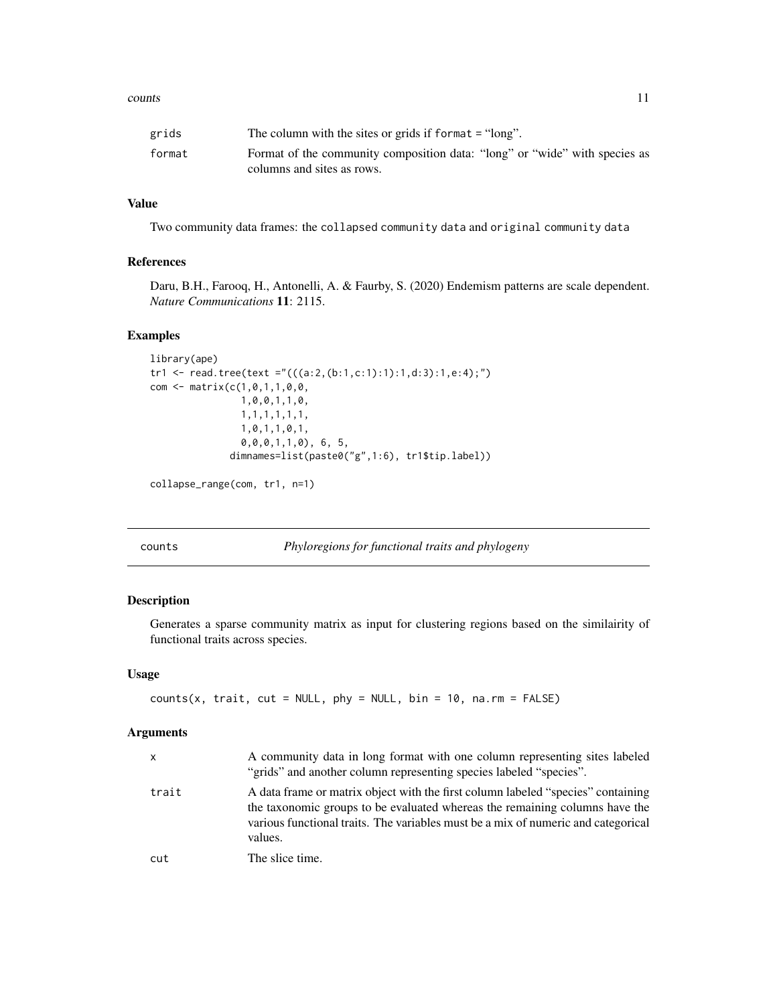#### <span id="page-10-0"></span>counts and the counts of the counts of the counts of the counts of the counts of the counts of the counts of the counts of the counts of the counts of the counts of the counts of the counts of the counts of the counts of t

| grids  | The column with the sites or grids if format $=$ "long".                   |
|--------|----------------------------------------------------------------------------|
| format | Format of the community composition data: "long" or "wide" with species as |
|        | columns and sites as rows.                                                 |

## Value

Two community data frames: the collapsed community data and original community data

## References

Daru, B.H., Farooq, H., Antonelli, A. & Faurby, S. (2020) Endemism patterns are scale dependent. *Nature Communications* 11: 2115.

## Examples

```
library(ape)
tr1 <- read.tree(text ="(((a:2,(b:1,c:1):1):1,d:3):1,e:4);")
com <- matrix(c(1,0,1,1,0,0,
                1,0,0,1,1,0,
                1,1,1,1,1,1,
                1,0,1,1,0,1,
                0,0,0,1,1,0), 6, 5,
              dimnames=list(paste0("g",1:6), tr1$tip.label))
```

```
collapse_range(com, tr1, n=1)
```
counts *Phyloregions for functional traits and phylogeny*

## Description

Generates a sparse community matrix as input for clustering regions based on the similairity of functional traits across species.

#### Usage

```
counts(x, trait, cut = NULL, phy = NULL, bin = 10, na.rm = FALSE)
```
## Arguments

| x     | A community data in long format with one column representing sites labeled<br>"grids" and another column representing species labeled "species".                                                                                                                |
|-------|-----------------------------------------------------------------------------------------------------------------------------------------------------------------------------------------------------------------------------------------------------------------|
| trait | A data frame or matrix object with the first column labeled "species" containing<br>the taxonomic groups to be evaluated whereas the remaining columns have the<br>various functional traits. The variables must be a mix of numeric and categorical<br>values. |
| cut   | The slice time.                                                                                                                                                                                                                                                 |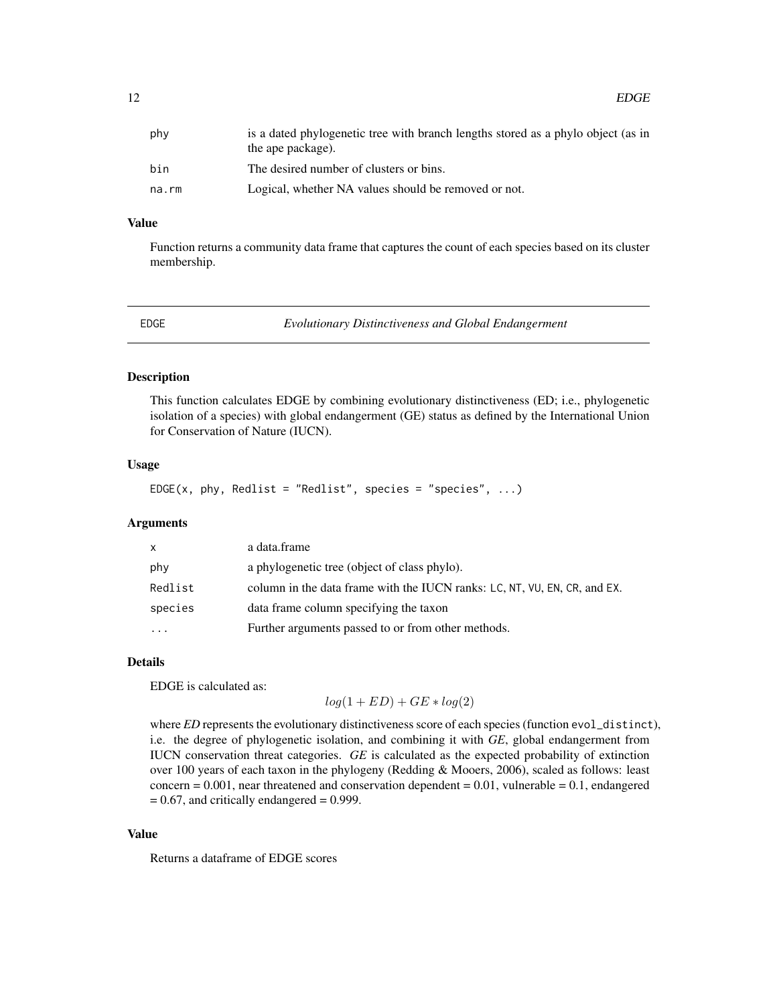## <span id="page-11-0"></span>Value

Function returns a community data frame that captures the count of each species based on its cluster membership.

<span id="page-11-1"></span>

EDGE *Evolutionary Distinctiveness and Global Endangerment*

#### Description

This function calculates EDGE by combining evolutionary distinctiveness (ED; i.e., phylogenetic isolation of a species) with global endangerment (GE) status as defined by the International Union for Conservation of Nature (IUCN).

#### Usage

EDGE(x, phy, Redlist = "Redlist", species = "species",  $\dots$ )

## Arguments

| X       | a data.frame                                                              |
|---------|---------------------------------------------------------------------------|
| phy     | a phylogenetic tree (object of class phylo).                              |
| Redlist | column in the data frame with the IUCN ranks: LC, NT, VU, EN, CR, and EX. |
| species | data frame column specifying the taxon                                    |
| .       | Further arguments passed to or from other methods.                        |

#### Details

EDGE is calculated as:

 $log(1+ED) + GE * log(2)$ 

where *ED* represents the evolutionary distinctiveness score of each species (function evol\_distinct), i.e. the degree of phylogenetic isolation, and combining it with *GE*, global endangerment from IUCN conservation threat categories. *GE* is calculated as the expected probability of extinction over 100 years of each taxon in the phylogeny (Redding & Mooers, 2006), scaled as follows: least concern  $= 0.001$ , near threatened and conservation dependent  $= 0.01$ , vulnerable  $= 0.1$ , endangered  $= 0.67$ , and critically endangered  $= 0.999$ .

#### Value

Returns a dataframe of EDGE scores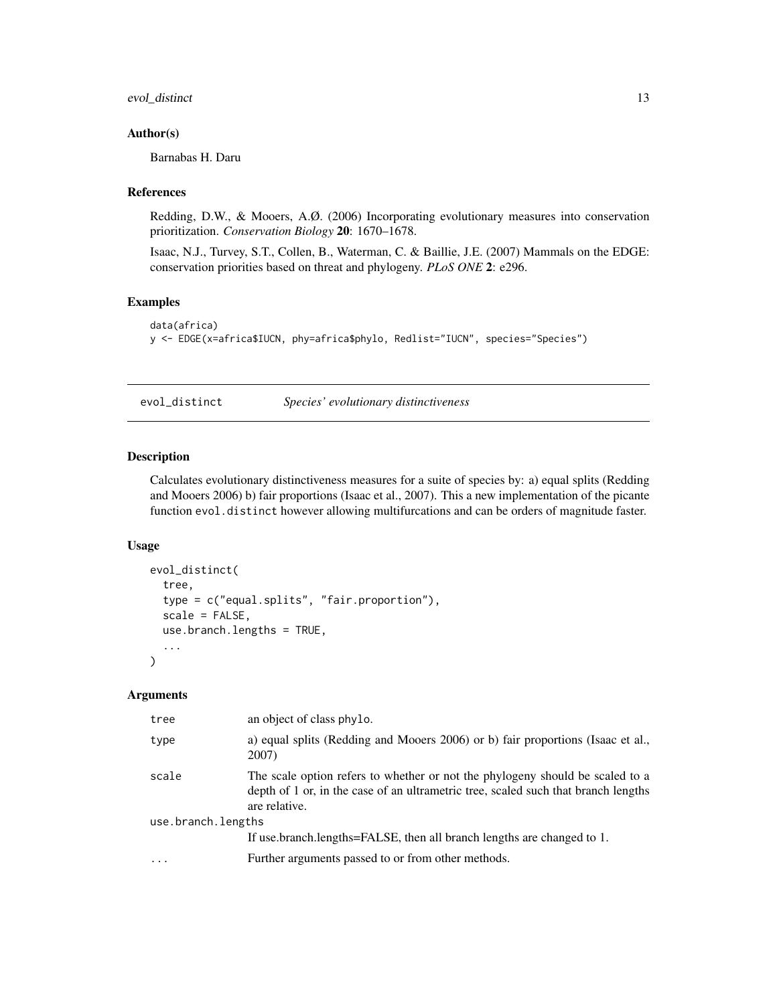## <span id="page-12-0"></span>evol\_distinct 13

#### Author(s)

Barnabas H. Daru

## References

Redding, D.W., & Mooers, A.Ø. (2006) Incorporating evolutionary measures into conservation prioritization. *Conservation Biology* 20: 1670–1678.

Isaac, N.J., Turvey, S.T., Collen, B., Waterman, C. & Baillie, J.E. (2007) Mammals on the EDGE: conservation priorities based on threat and phylogeny. *PLoS ONE* 2: e296.

## Examples

```
data(africa)
y <- EDGE(x=africa$IUCN, phy=africa$phylo, Redlist="IUCN", species="Species")
```
<span id="page-12-1"></span>evol\_distinct *Species' evolutionary distinctiveness*

## Description

Calculates evolutionary distinctiveness measures for a suite of species by: a) equal splits (Redding and Mooers 2006) b) fair proportions (Isaac et al., 2007). This a new implementation of the picante function evol.distinct however allowing multifurcations and can be orders of magnitude faster.

#### Usage

```
evol_distinct(
  tree,
  type = c("equal.splits", "fair.proportion"),
  scale = FALSE,
  use.branch.lengths = TRUE,
  ...
\mathcal{L}
```
#### Arguments

| tree               | an object of class phylo.                                                                                                                                                            |  |
|--------------------|--------------------------------------------------------------------------------------------------------------------------------------------------------------------------------------|--|
| type               | a) equal splits (Redding and Mooers 2006) or b) fair proportions (Isaac et al.,<br>2007)                                                                                             |  |
| scale              | The scale option refers to whether or not the phylogeny should be scaled to a<br>depth of 1 or, in the case of an ultrametric tree, scaled such that branch lengths<br>are relative. |  |
| use.branch.lengths |                                                                                                                                                                                      |  |
|                    | If use branch lengths=FALSE, then all branch lengths are changed to 1.                                                                                                               |  |
| $\ddotsc$          | Further arguments passed to or from other methods.                                                                                                                                   |  |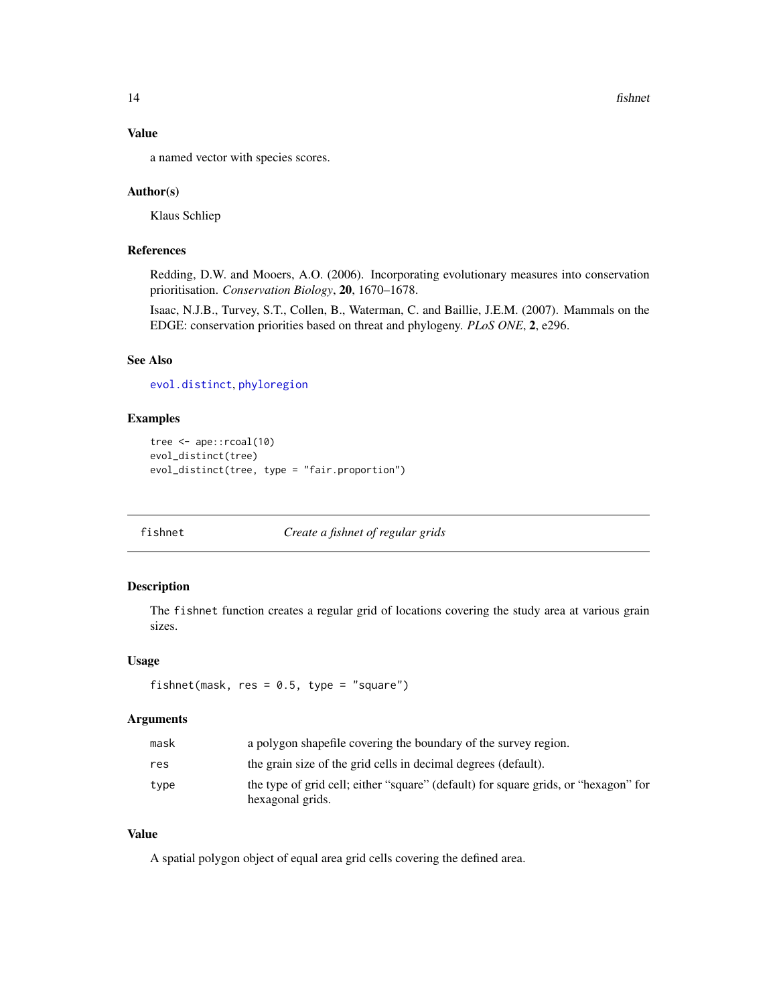<span id="page-13-0"></span>14 fishnet

## Value

a named vector with species scores.

## Author(s)

Klaus Schliep

## References

Redding, D.W. and Mooers, A.O. (2006). Incorporating evolutionary measures into conservation prioritisation. *Conservation Biology*, 20, 1670–1678.

Isaac, N.J.B., Turvey, S.T., Collen, B., Waterman, C. and Baillie, J.E.M. (2007). Mammals on the EDGE: conservation priorities based on threat and phylogeny. *PLoS ONE*, 2, e296.

## See Also

[evol.distinct](#page-0-0), [phyloregion](#page-27-1)

## Examples

```
tree <- ape::rcoal(10)
evol_distinct(tree)
evol_distinct(tree, type = "fair.proportion")
```
<span id="page-13-1"></span>

fishnet *Create a fishnet of regular grids*

## Description

The fishnet function creates a regular grid of locations covering the study area at various grain sizes.

## Usage

```
fishnet(mask, res = 0.5, type = "square")
```
#### Arguments

| mask | a polygon shapefile covering the boundary of the survey region.                                         |
|------|---------------------------------------------------------------------------------------------------------|
| res  | the grain size of the grid cells in decimal degrees (default).                                          |
| type | the type of grid cell; either "square" (default) for square grids, or "hexagon" for<br>hexagonal grids. |

## Value

A spatial polygon object of equal area grid cells covering the defined area.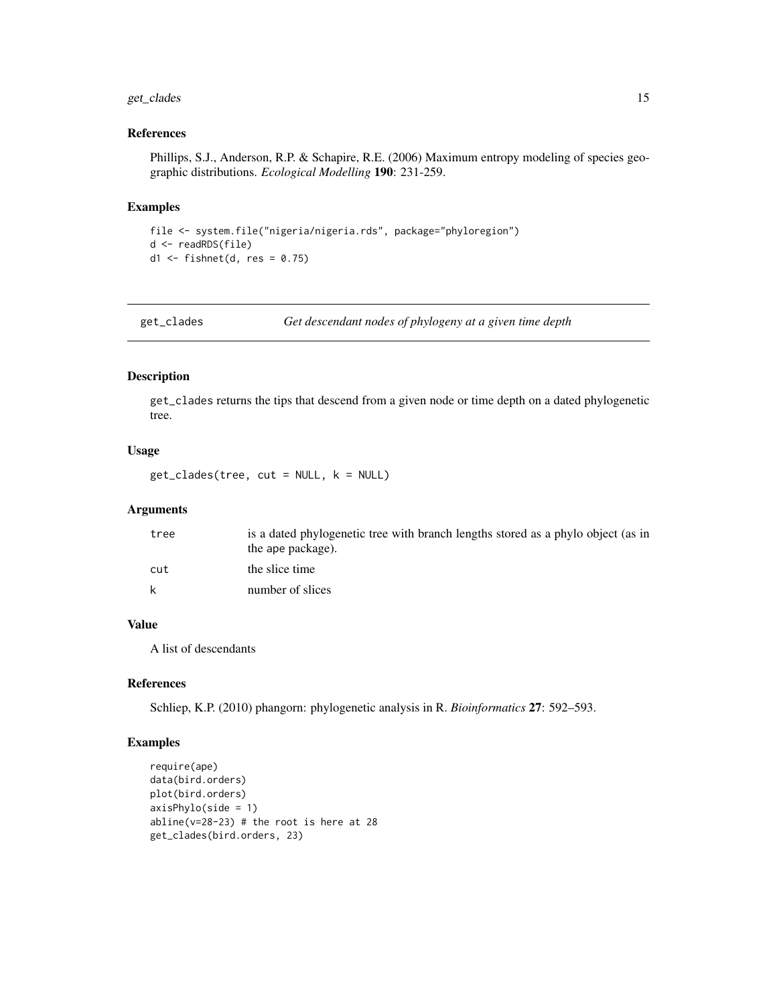## <span id="page-14-0"></span>get\_clades 15

## References

Phillips, S.J., Anderson, R.P. & Schapire, R.E. (2006) Maximum entropy modeling of species geographic distributions. *Ecological Modelling* 190: 231-259.

#### Examples

```
file <- system.file("nigeria/nigeria.rds", package="phyloregion")
d <- readRDS(file)
d1 <- fishnet(d, res = 0.75)
```
get\_clades *Get descendant nodes of phylogeny at a given time depth*

## Description

get\_clades returns the tips that descend from a given node or time depth on a dated phylogenetic tree.

#### Usage

get\_clades(tree, cut = NULL, k = NULL)

## Arguments

| tree | is a dated phylogenetic tree with branch lengths stored as a phylo object (as in<br>the ape package). |
|------|-------------------------------------------------------------------------------------------------------|
| cut  | the slice time                                                                                        |
| k    | number of slices                                                                                      |

## Value

A list of descendants

## References

Schliep, K.P. (2010) phangorn: phylogenetic analysis in R. *Bioinformatics* 27: 592–593.

```
require(ape)
data(bird.orders)
plot(bird.orders)
axisPhylo(side = 1)
abline(v=28-23) # the root is here at 28
get_clades(bird.orders, 23)
```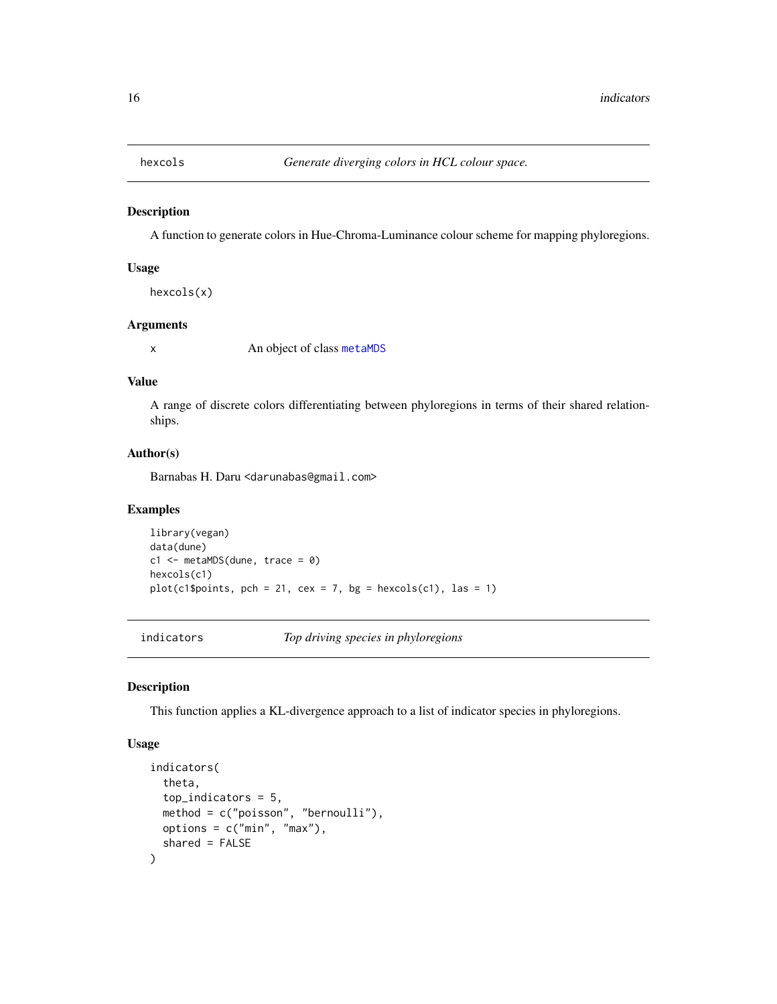<span id="page-15-0"></span>

A function to generate colors in Hue-Chroma-Luminance colour scheme for mapping phyloregions.

#### Usage

hexcols(x)

## Arguments

x An object of class [metaMDS](#page-0-0)

#### Value

A range of discrete colors differentiating between phyloregions in terms of their shared relationships.

## Author(s)

Barnabas H. Daru <darunabas@gmail.com>

## Examples

```
library(vegan)
data(dune)
c1 \le - metaMDS(dune, trace = 0)
hexcols(c1)
plot(c1$points, pch = 21, cex = 7, bg = hexcols(c1), las = 1)
```
indicators *Top driving species in phyloregions*

#### Description

This function applies a KL-divergence approach to a list of indicator species in phyloregions.

#### Usage

```
indicators(
  theta,
  top_indicators = 5,
 method = c("poisson", "bernoulli"),
 options = c("min", "max"),
  shared = FALSE
\mathcal{E}
```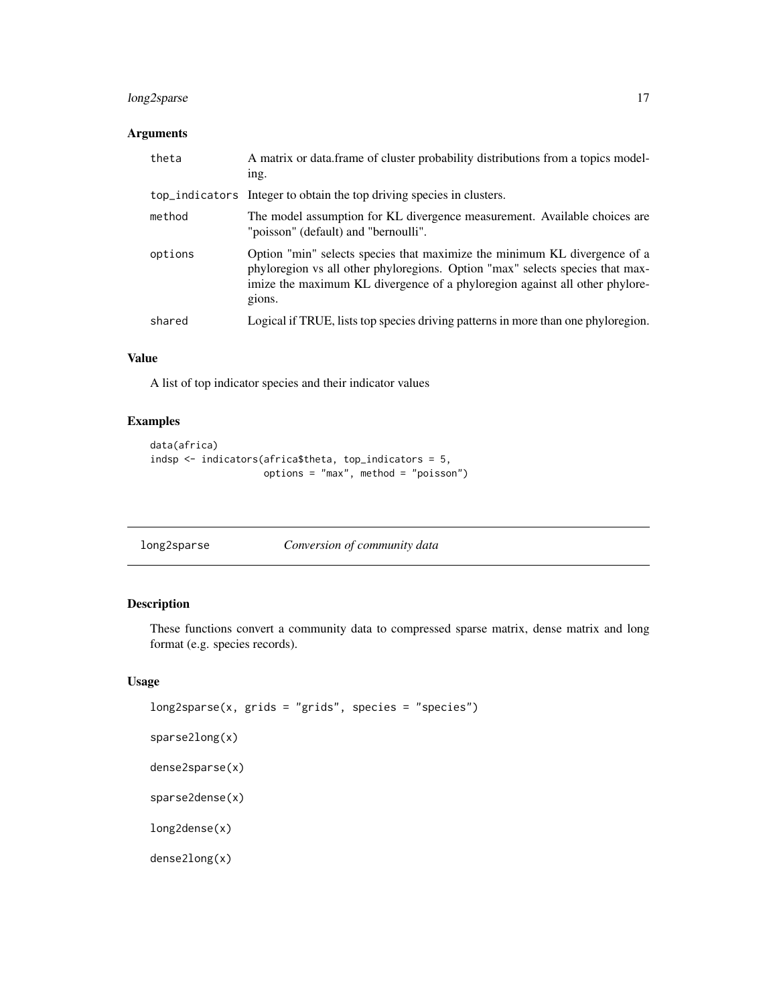## <span id="page-16-0"></span>long2sparse 17

## Arguments

| theta   | A matrix or data frame of cluster probability distributions from a topics model-<br>ing.                                                                                                                                                            |
|---------|-----------------------------------------------------------------------------------------------------------------------------------------------------------------------------------------------------------------------------------------------------|
|         | top_indicators Integer to obtain the top driving species in clusters.                                                                                                                                                                               |
| method  | The model assumption for KL divergence measurement. Available choices are<br>"poisson" (default) and "bernoulli".                                                                                                                                   |
| options | Option "min" selects species that maximize the minimum KL divergence of a<br>phyloregion vs all other phyloregions. Option "max" selects species that max-<br>imize the maximum KL divergence of a phyloregion against all other phylore-<br>gions. |
| shared  | Logical if TRUE, lists top species driving patterns in more than one phyloregion.                                                                                                                                                                   |

## Value

A list of top indicator species and their indicator values

## Examples

```
data(africa)
indsp <- indicators(africa$theta, top_indicators = 5,
                    options = "max", method = "poisson")
```
<span id="page-16-1"></span>

| long2sparse | Conversion of community data |
|-------------|------------------------------|

## Description

These functions convert a community data to compressed sparse matrix, dense matrix and long format (e.g. species records).

## Usage

```
long2sparse(x, grids = "grids", species = "species")
sparse2long(x)
dense2sparse(x)
sparse2dense(x)
long2dense(x)
dense2long(x)
```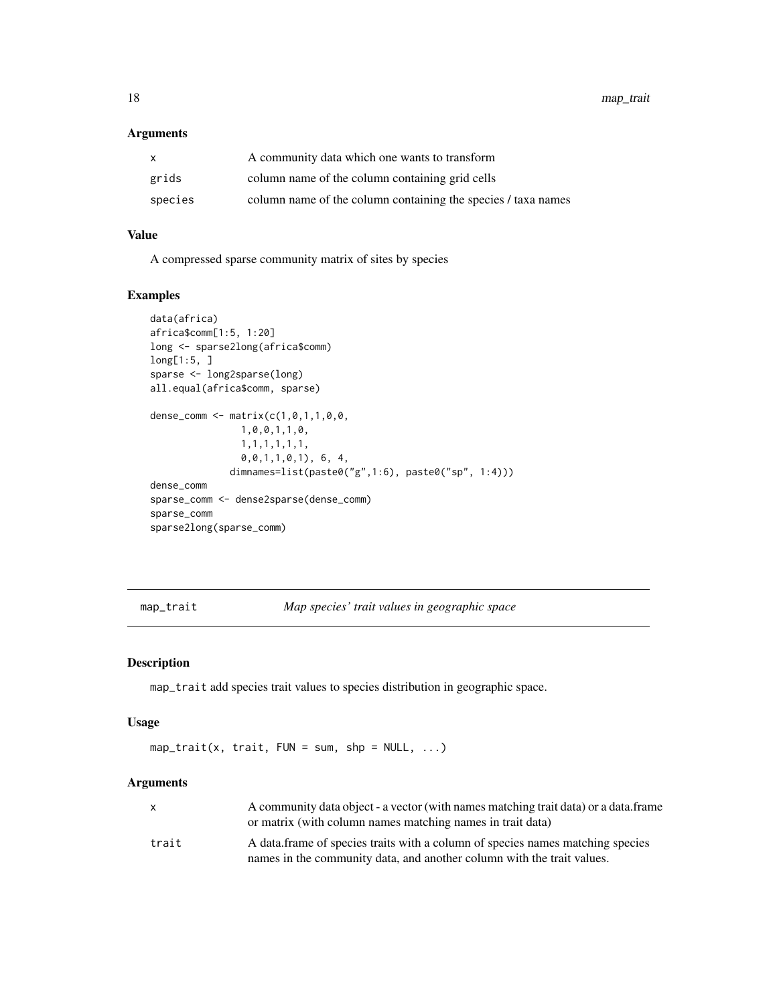## <span id="page-17-0"></span>Arguments

| X       | A community data which one wants to transform                 |
|---------|---------------------------------------------------------------|
| grids   | column name of the column containing grid cells               |
| species | column name of the column containing the species / taxa names |

## Value

A compressed sparse community matrix of sites by species

## Examples

```
data(africa)
africa$comm[1:5, 1:20]
long <- sparse2long(africa$comm)
long[1:5, ]
sparse <- long2sparse(long)
all.equal(africa$comm, sparse)
dense_comm <- matrix(c(1,0,1,1,0,0,
               1,0,0,1,1,0,
                1,1,1,1,1,1,
                0,0,1,1,0,1), 6, 4,
              dimnames=list(paste0("g",1:6), paste0("sp", 1:4)))
dense_comm
sparse_comm <- dense2sparse(dense_comm)
sparse_comm
sparse2long(sparse_comm)
```
map\_trait *Map species' trait values in geographic space*

## Description

map\_trait add species trait values to species distribution in geographic space.

#### Usage

map\_trait(x, trait,  $FUN = sum$ ,  $shp = NULL$ , ...)

## Arguments

|       | A community data object - a vector (with names matching trait data) or a data. frame<br>or matrix (with column names matching names in trait data) |
|-------|----------------------------------------------------------------------------------------------------------------------------------------------------|
| trait | A data frame of species traits with a column of species names matching species                                                                     |
|       | names in the community data, and another column with the trait values.                                                                             |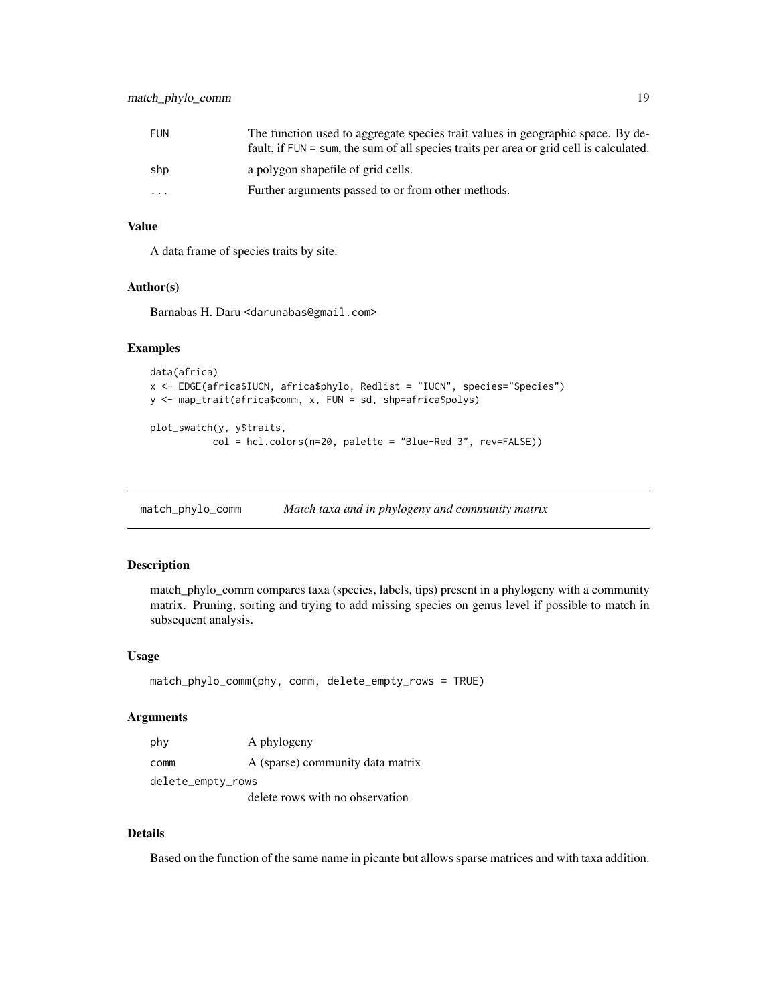<span id="page-18-0"></span>

| FUN       | The function used to aggregate species trait values in geographic space. By de-<br>fault, if FUN = sum, the sum of all species traits per area or grid cell is calculated. |
|-----------|----------------------------------------------------------------------------------------------------------------------------------------------------------------------------|
| shp       | a polygon shapefile of grid cells.                                                                                                                                         |
| $\ddotsc$ | Further arguments passed to or from other methods.                                                                                                                         |

## Value

A data frame of species traits by site.

#### Author(s)

Barnabas H. Daru <darunabas@gmail.com>

## Examples

```
data(africa)
x <- EDGE(africa$IUCN, africa$phylo, Redlist = "IUCN", species="Species")
y <- map_trait(africa$comm, x, FUN = sd, shp=africa$polys)
plot_swatch(y, y$traits,
```

```
col = hcl.colors(n=20, palette = "Blue-Red 3", rev=FALSE))
```
match\_phylo\_comm *Match taxa and in phylogeny and community matrix*

## Description

match\_phylo\_comm compares taxa (species, labels, tips) present in a phylogeny with a community matrix. Pruning, sorting and trying to add missing species on genus level if possible to match in subsequent analysis.

## Usage

```
match_phylo_comm(phy, comm, delete_empty_rows = TRUE)
```
#### Arguments

| phy               | A phylogeny                      |
|-------------------|----------------------------------|
| comm              | A (sparse) community data matrix |
| delete_empty_rows |                                  |
|                   | delete rows with no observation  |

#### Details

Based on the function of the same name in picante but allows sparse matrices and with taxa addition.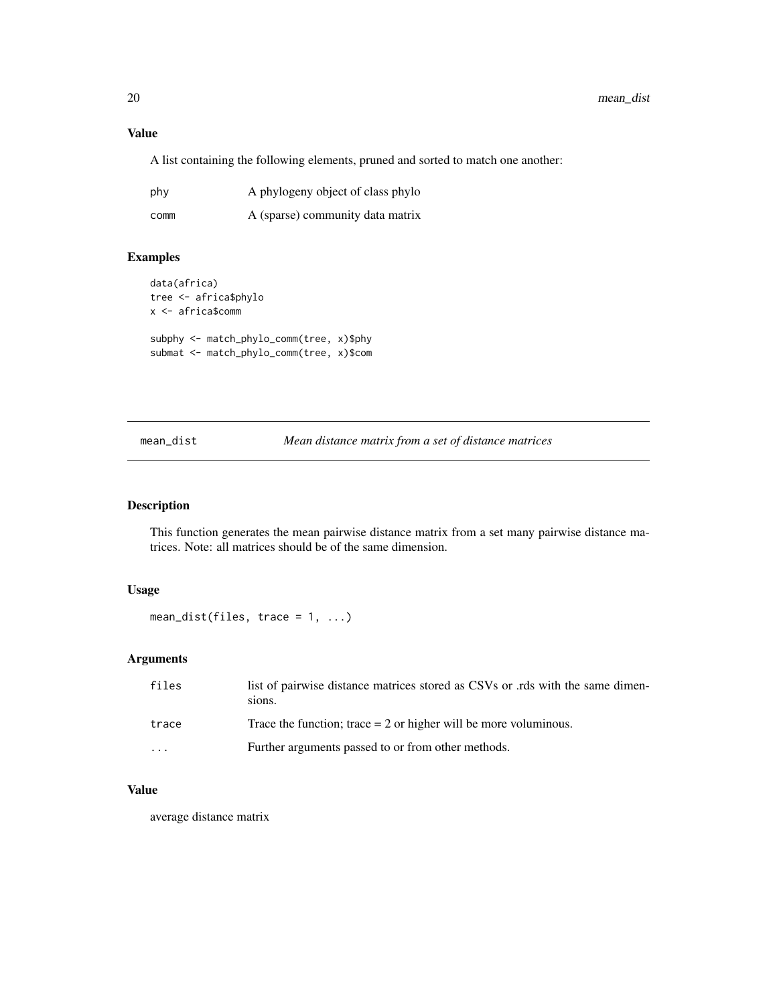## Value

A list containing the following elements, pruned and sorted to match one another:

| phy  | A phylogeny object of class phylo |
|------|-----------------------------------|
| comm | A (sparse) community data matrix  |

## Examples

```
data(africa)
tree <- africa$phylo
x <- africa$comm
subphy <- match_phylo_comm(tree, x)$phy
submat <- match_phylo_comm(tree, x)$com
```
mean\_dist *Mean distance matrix from a set of distance matrices*

## Description

This function generates the mean pairwise distance matrix from a set many pairwise distance matrices. Note: all matrices should be of the same dimension.

## Usage

mean\_dist(files, trace = 1, ...)

## Arguments

| files | list of pairwise distance matrices stored as CSVs or .rds with the same dimen-<br>sions. |
|-------|------------------------------------------------------------------------------------------|
| trace | Trace the function; trace $= 2$ or higher will be more voluminous.                       |
| .     | Further arguments passed to or from other methods.                                       |

## Value

average distance matrix

<span id="page-19-0"></span>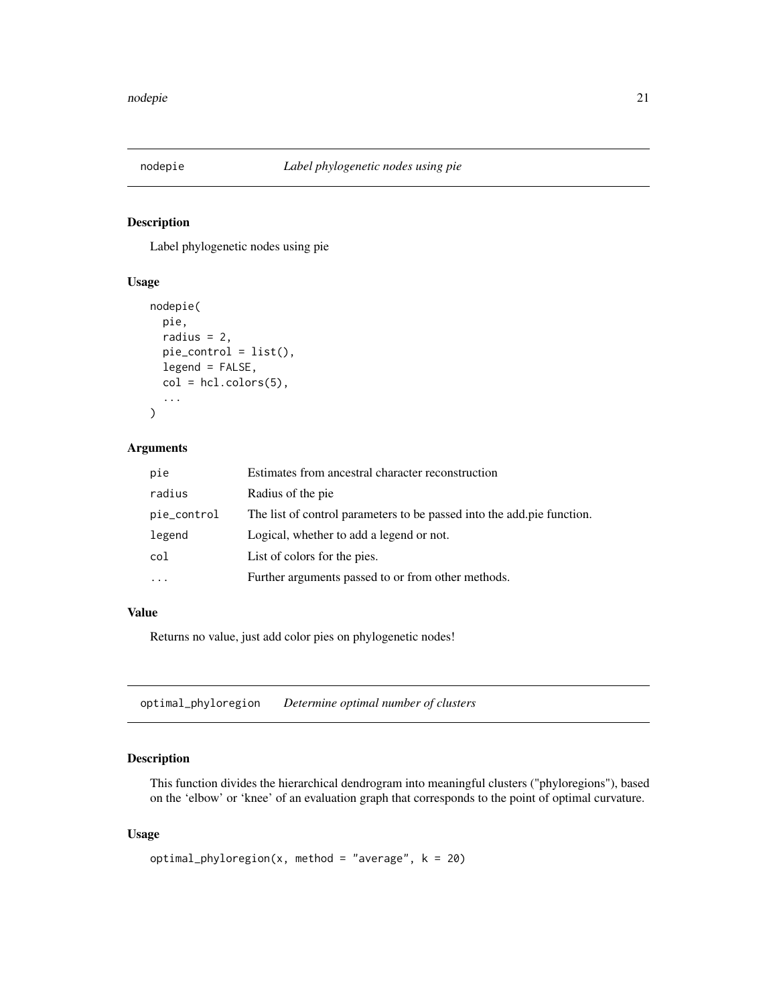<span id="page-20-0"></span>

Label phylogenetic nodes using pie

## Usage

```
nodepie(
 pie,
  radius = 2,
 pie_control = list(),
 legend = FALSE,
  col = hcl.close(5),
  ...
)
```
## Arguments

| pie         | Estimates from ancestral character reconstruction                      |
|-------------|------------------------------------------------------------------------|
| radius      | Radius of the pie.                                                     |
| pie_control | The list of control parameters to be passed into the add pie function. |
| legend      | Logical, whether to add a legend or not.                               |
| col         | List of colors for the pies.                                           |
| $\cdots$    | Further arguments passed to or from other methods.                     |

### Value

Returns no value, just add color pies on phylogenetic nodes!

<span id="page-20-1"></span>optimal\_phyloregion *Determine optimal number of clusters*

## Description

This function divides the hierarchical dendrogram into meaningful clusters ("phyloregions"), based on the 'elbow' or 'knee' of an evaluation graph that corresponds to the point of optimal curvature.

#### Usage

```
optimal_phyloregion(x, method = "average", k = 20)
```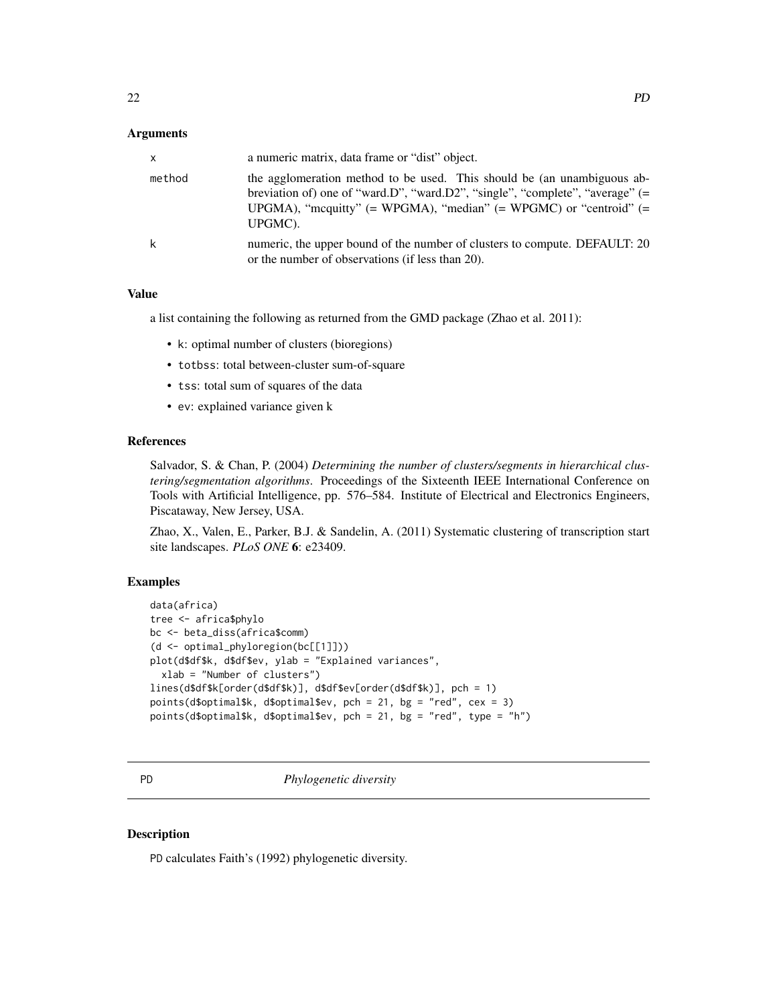#### <span id="page-21-0"></span>Arguments

| $\mathsf{x}$ | a numeric matrix, data frame or "dist" object.                                                                                                                                                                                                    |
|--------------|---------------------------------------------------------------------------------------------------------------------------------------------------------------------------------------------------------------------------------------------------|
| method       | the agglomeration method to be used. This should be (an unambiguous ab-<br>breviation of) one of "ward.D", "ward.D2", "single", "complete", "average" $(=$<br>UPGMA), "mcquitty" $(= WPGMA)$ , "median" $(= WPGMC)$ or "centroid" $(=$<br>UPGMC). |
| k            | numeric, the upper bound of the number of clusters to compute. DEFAULT: 20<br>or the number of observations (if less than 20).                                                                                                                    |

#### Value

a list containing the following as returned from the GMD package (Zhao et al. 2011):

- k: optimal number of clusters (bioregions)
- totbss: total between-cluster sum-of-square
- tss: total sum of squares of the data
- ev: explained variance given k

#### References

Salvador, S. & Chan, P. (2004) *Determining the number of clusters/segments in hierarchical clustering/segmentation algorithms*. Proceedings of the Sixteenth IEEE International Conference on Tools with Artificial Intelligence, pp. 576–584. Institute of Electrical and Electronics Engineers, Piscataway, New Jersey, USA.

Zhao, X., Valen, E., Parker, B.J. & Sandelin, A. (2011) Systematic clustering of transcription start site landscapes. *PLoS ONE* 6: e23409.

#### Examples

```
data(africa)
tree <- africa$phylo
bc <- beta_diss(africa$comm)
(d <- optimal_phyloregion(bc[[1]]))
plot(d$df$k, d$df$ev, ylab = "Explained variances",
 xlab = "Number of clusters")
lines(d$df$k[order(d$df$k)], d$df$ev[order(d$df$k)], pch = 1)
points(d$optimal$k, d$optimal$ev, pch = 21, bg = "red", cex = 3)
points(d$optimal$k, d$optimal$ev, pch = 21, bg = "red", type = "h")
```
PD *Phylogenetic diversity*

## Description

PD calculates Faith's (1992) phylogenetic diversity.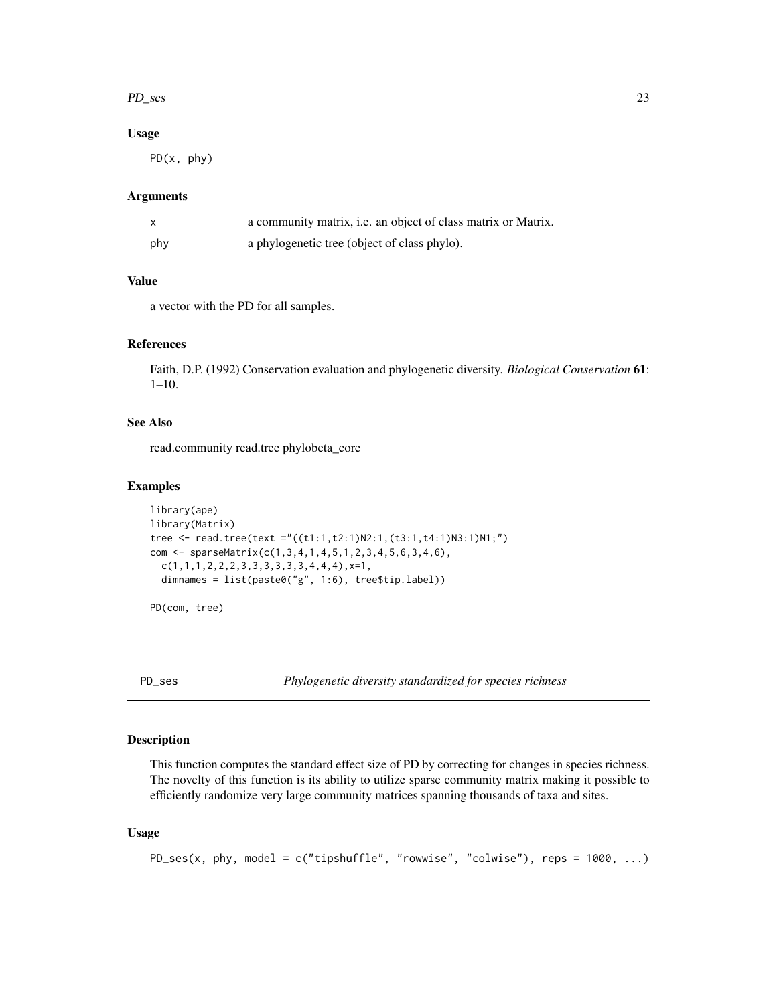#### <span id="page-22-0"></span>PD\_ses 23

## Usage

PD(x, phy)

#### **Arguments**

| X   | a community matrix, <i>i.e.</i> an object of class matrix or Matrix. |
|-----|----------------------------------------------------------------------|
| phy | a phylogenetic tree (object of class phylo).                         |

## Value

a vector with the PD for all samples.

## References

Faith, D.P. (1992) Conservation evaluation and phylogenetic diversity. *Biological Conservation* 61: 1–10.

## See Also

read.community read.tree phylobeta\_core

#### Examples

```
library(ape)
library(Matrix)
tree <- read.tree(text ="((t1:1,t2:1)N2:1,(t3:1,t4:1)N3:1)N1;")
com <- sparseMatrix(c(1,3,4,1,4,5,1,2,3,4,5,6,3,4,6),
  c(1,1,1,2,2,2,3,3,3,3,3,3,4,4,4), x=1,
  dimnames = list(paste0("g", 1:6), tree$tip.label))
```
PD(com, tree)

PD\_ses *Phylogenetic diversity standardized for species richness*

## Description

This function computes the standard effect size of PD by correcting for changes in species richness. The novelty of this function is its ability to utilize sparse community matrix making it possible to efficiently randomize very large community matrices spanning thousands of taxa and sites.

## Usage

```
PD_ses(x, phy, model = c("tipshuffle", "rowwise", "colwise"), reps = 1000, ...)
```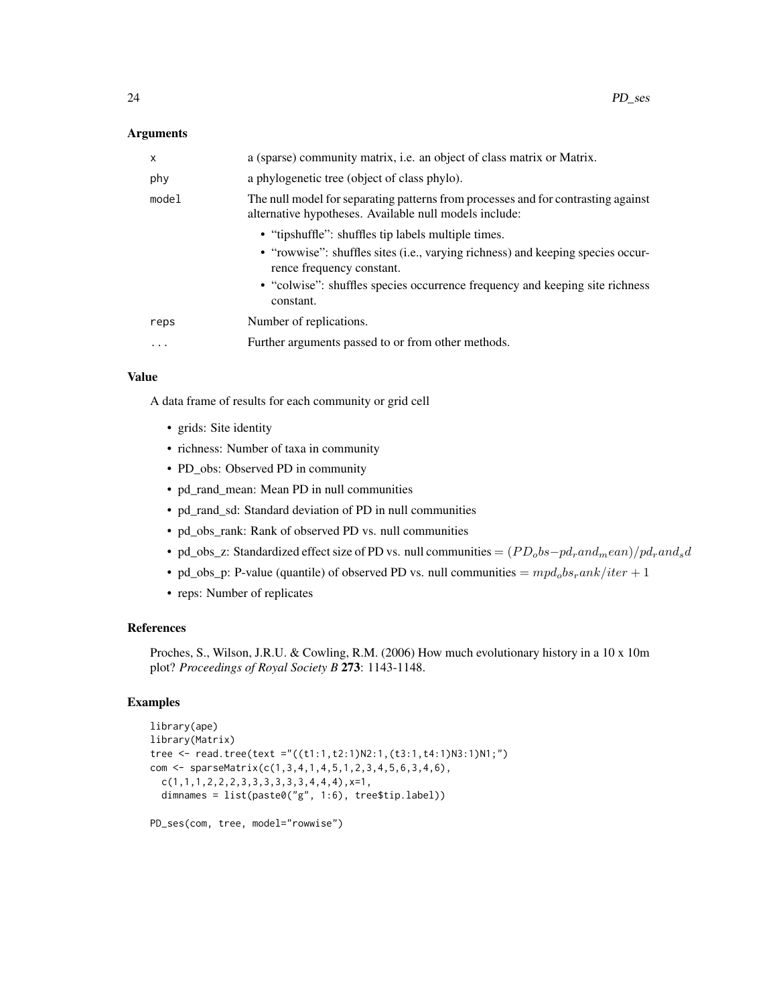#### **Arguments**

| X         | a (sparse) community matrix, <i>i.e.</i> an object of class matrix or Matrix.                                                               |
|-----------|---------------------------------------------------------------------------------------------------------------------------------------------|
| phy       | a phylogenetic tree (object of class phylo).                                                                                                |
| model     | The null model for separating patterns from processes and for contrasting against<br>alternative hypotheses. Available null models include: |
|           | • "tipshuffle": shuffles tip labels multiple times.                                                                                         |
|           | • "rowwise": shuffles sites (i.e., varying richness) and keeping species occur-<br>rence frequency constant.                                |
|           | • "colwise": shuffles species occurrence frequency and keeping site richness<br>constant.                                                   |
| reps      | Number of replications.                                                                                                                     |
| $\ddotsc$ | Further arguments passed to or from other methods.                                                                                          |

#### Value

A data frame of results for each community or grid cell

- grids: Site identity
- richness: Number of taxa in community
- PD\_obs: Observed PD in community
- pd\_rand\_mean: Mean PD in null communities
- pd\_rand\_sd: Standard deviation of PD in null communities
- pd\_obs\_rank: Rank of observed PD vs. null communities
- pd\_obs\_z: Standardized effect size of PD vs. null communities =  $(PD_{o}bs-pd_{r}and_{m}ean)/pd_{r}and_{s}d$
- pd\_obs\_p: P-value (quantile) of observed PD vs. null communities =  $mpd_0bs_rank/iter + 1$
- reps: Number of replicates

## References

Proches, S., Wilson, J.R.U. & Cowling, R.M. (2006) How much evolutionary history in a 10 x 10m plot? *Proceedings of Royal Society B* 273: 1143-1148.

```
library(ape)
library(Matrix)
tree <- read.tree(text ="((t1:1,t2:1)N2:1,(t3:1,t4:1)N3:1)N1;")
com <- sparseMatrix(c(1,3,4,1,4,5,1,2,3,4,5,6,3,4,6),
  c(1,1,1,2,2,2,3,3,3,3,3,3,4,4,4), x=1,
  dimnames = list(paste0("g", 1:6), tree$tip.label))
PD_ses(com, tree, model="rowwise")
```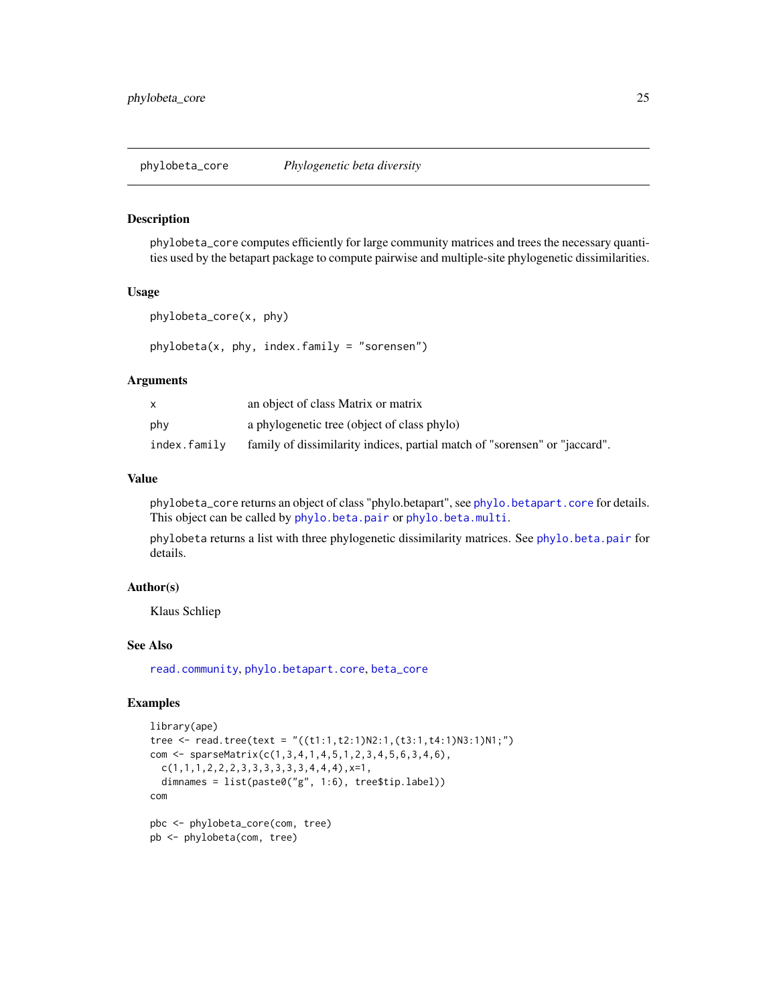<span id="page-24-0"></span>phylobeta\_core *Phylogenetic beta diversity*

#### <span id="page-24-1"></span>Description

phylobeta\_core computes efficiently for large community matrices and trees the necessary quantities used by the betapart package to compute pairwise and multiple-site phylogenetic dissimilarities.

## Usage

```
phylobeta_core(x, phy)
phylobeta(x, phy, index.findmy = "sorensen")
```
#### Arguments

|              | an object of class Matrix or matrix                                        |
|--------------|----------------------------------------------------------------------------|
| phy          | a phylogenetic tree (object of class phylo)                                |
| index.family | family of dissimilarity indices, partial match of "sorensen" or "jaccard". |

#### Value

phylobeta\_core returns an object of class "phylo.betapart", see [phylo.betapart.core](#page-0-0) for details. This object can be called by [phylo.beta.pair](#page-0-0) or [phylo.beta.multi](#page-0-0).

phylobeta returns a list with three phylogenetic dissimilarity matrices. See [phylo.beta.pair](#page-0-0) for details.

## Author(s)

Klaus Schliep

## See Also

[read.community](#page-36-1), [phylo.betapart.core](#page-0-0), [beta\\_core](#page-6-1)

```
library(ape)
tree <- read.tree(text = "((t1:1,t2:1)N2:1,(t3:1,t4:1)N3:1)N1;")
com <- sparseMatrix(c(1,3,4,1,4,5,1,2,3,4,5,6,3,4,6),
  c(1,1,1,2,2,2,3,3,3,3,3,3,4,4,4),x=1,
  dimnames = list(paste0("g", 1:6), tree$tip.label))
com
pbc <- phylobeta_core(com, tree)
```

```
pb <- phylobeta(com, tree)
```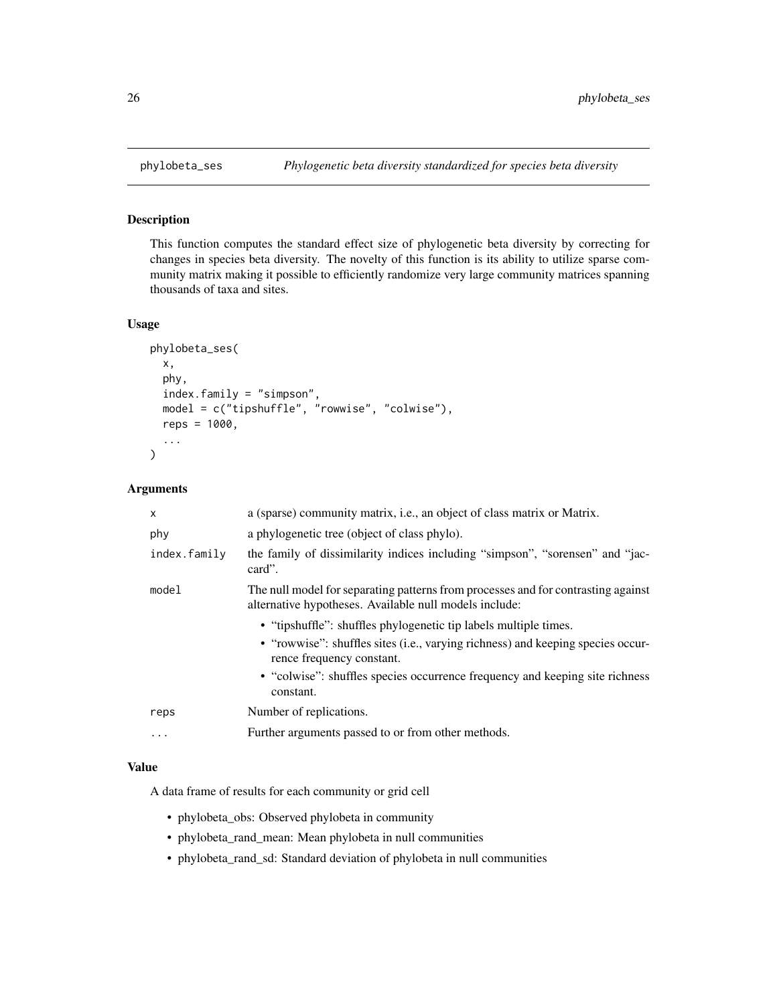<span id="page-25-0"></span>

This function computes the standard effect size of phylogenetic beta diversity by correcting for changes in species beta diversity. The novelty of this function is its ability to utilize sparse community matrix making it possible to efficiently randomize very large community matrices spanning thousands of taxa and sites.

#### Usage

```
phylobeta_ses(
  x,
  phy,
  index.family = "simpson",
  model = c("tipshuffle", "rowwise", "colwise"),
  reps = 1000,...
\mathcal{E}
```
#### Arguments

| $\times$     | a (sparse) community matrix, i.e., an object of class matrix or Matrix.                                                                                                                                                                                                       |
|--------------|-------------------------------------------------------------------------------------------------------------------------------------------------------------------------------------------------------------------------------------------------------------------------------|
| phy          | a phylogenetic tree (object of class phylo).                                                                                                                                                                                                                                  |
| index.family | the family of dissimilarity indices including "simpson", "sorensen" and "jac-<br>card".                                                                                                                                                                                       |
| model        | The null model for separating patterns from processes and for contrasting against<br>alternative hypotheses. Available null models include:                                                                                                                                   |
|              | • "tipshuffle": shuffles phylogenetic tip labels multiple times.<br>• "rowwise": shuffles sites (i.e., varying richness) and keeping species occur-<br>rence frequency constant.<br>• "colwise": shuffles species occurrence frequency and keeping site richness<br>constant. |
| reps         | Number of replications.                                                                                                                                                                                                                                                       |
| $\ddotsc$    | Further arguments passed to or from other methods.                                                                                                                                                                                                                            |

## Value

A data frame of results for each community or grid cell

- phylobeta\_obs: Observed phylobeta in community
- phylobeta\_rand\_mean: Mean phylobeta in null communities
- phylobeta\_rand\_sd: Standard deviation of phylobeta in null communities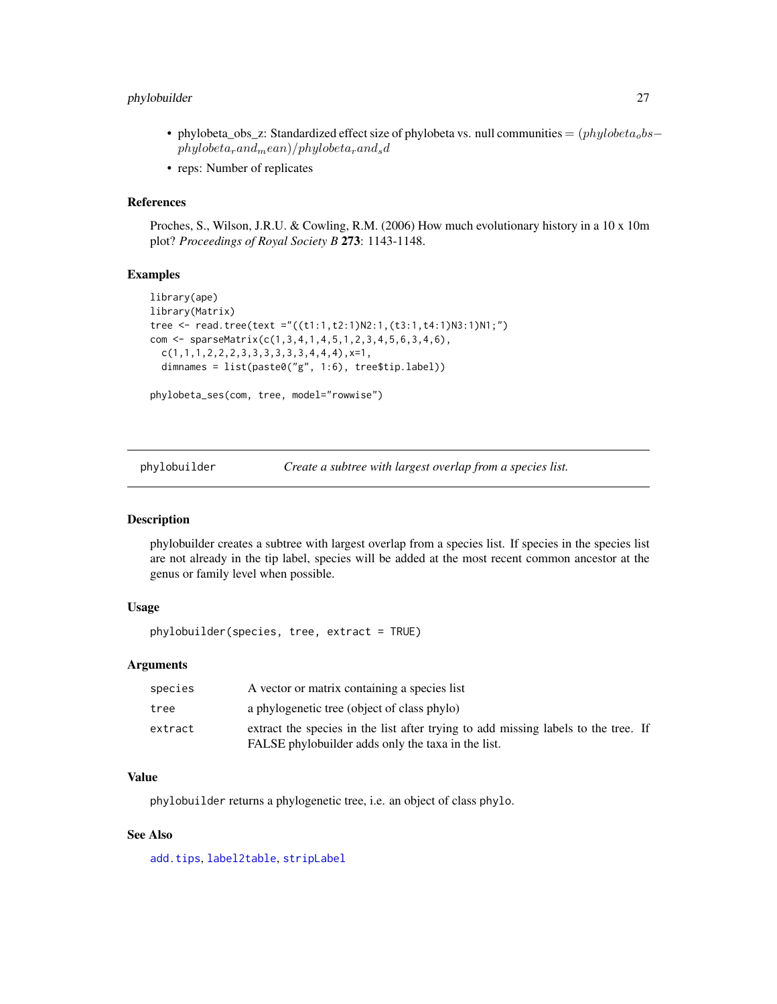## <span id="page-26-0"></span>phylobuilder 27

- phylobeta\_obs\_z: Standardized effect size of phylobeta vs. null communities =  $(phylobeta_0bs$  $phylobeta_r and_mean)/phylobeta_r and_s$
- reps: Number of replicates

## References

Proches, S., Wilson, J.R.U. & Cowling, R.M. (2006) How much evolutionary history in a 10 x 10m plot? *Proceedings of Royal Society B* 273: 1143-1148.

#### Examples

```
library(ape)
library(Matrix)
tree <- read.tree(text ="((t1:1,t2:1)N2:1,(t3:1,t4:1)N3:1)N1;")
com <- sparseMatrix(c(1,3,4,1,4,5,1,2,3,4,5,6,3,4,6),
  c(1,1,1,2,2,2,3,3,3,3,3,3,4,4,4),x=1,
  dimnames = list(paste0("g", 1:6), tree$tip.label))
phylobeta_ses(com, tree, model="rowwise")
```
phylobuilder *Create a subtree with largest overlap from a species list.*

## Description

phylobuilder creates a subtree with largest overlap from a species list. If species in the species list are not already in the tip label, species will be added at the most recent common ancestor at the genus or family level when possible.

## Usage

```
phylobuilder(species, tree, extract = TRUE)
```
#### Arguments

| species | A vector or matrix containing a species list                                                                                             |  |
|---------|------------------------------------------------------------------------------------------------------------------------------------------|--|
| tree    | a phylogenetic tree (object of class phylo)                                                                                              |  |
| extract | extract the species in the list after trying to add missing labels to the tree. If<br>FALSE phylobuilder adds only the taxa in the list. |  |

## Value

phylobuilder returns a phylogenetic tree, i.e. an object of class phylo.

## See Also

[add.tips](#page-0-0), [label2table](#page-0-0), [stripLabel](#page-0-0)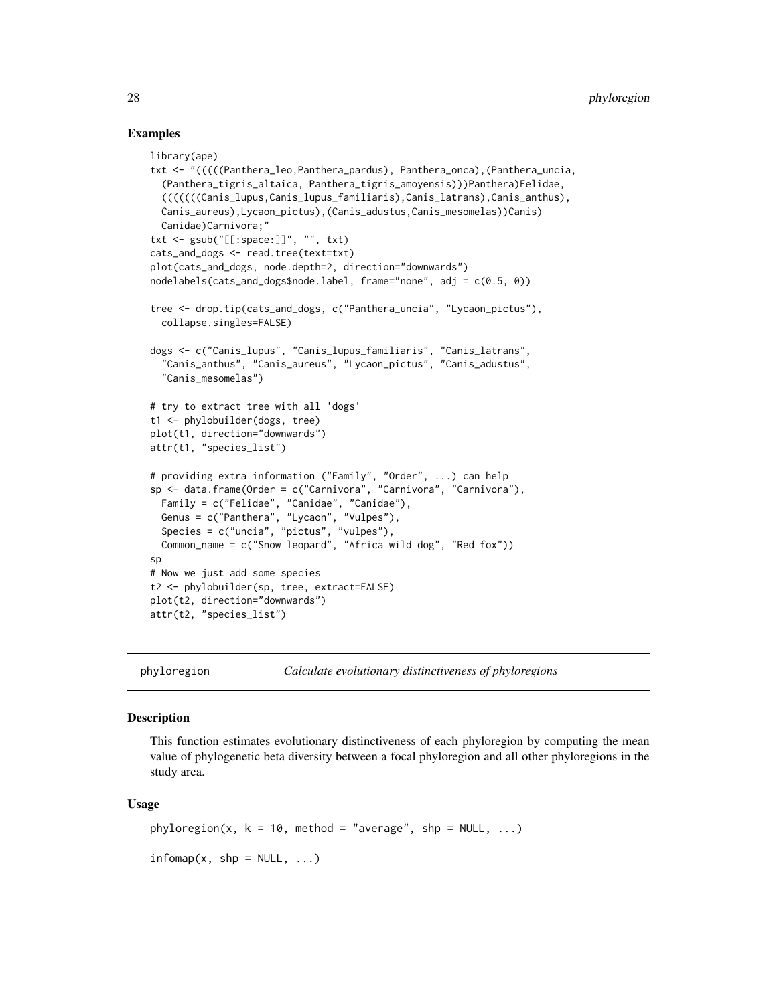#### Examples

```
library(ape)
txt <- "(((((Panthera_leo,Panthera_pardus), Panthera_onca),(Panthera_uncia,
  (Panthera_tigris_altaica, Panthera_tigris_amoyensis)))Panthera)Felidae,
  (((((((Canis_lupus,Canis_lupus_familiaris),Canis_latrans),Canis_anthus),
 Canis_aureus),Lycaon_pictus),(Canis_adustus,Canis_mesomelas))Canis)
 Canidae)Carnivora;"
txt <- gsub("[[:space:]]", "", txt)
cats_and_dogs <- read.tree(text=txt)
plot(cats_and_dogs, node.depth=2, direction="downwards")
nodelabels(cats_and_dogs$node.label, frame="none", adj = c(0.5, 0))
tree <- drop.tip(cats_and_dogs, c("Panthera_uncia", "Lycaon_pictus"),
 collapse.singles=FALSE)
dogs <- c("Canis_lupus", "Canis_lupus_familiaris", "Canis_latrans",
  "Canis_anthus", "Canis_aureus", "Lycaon_pictus", "Canis_adustus",
  "Canis_mesomelas")
# try to extract tree with all 'dogs'
t1 <- phylobuilder(dogs, tree)
plot(t1, direction="downwards")
attr(t1, "species_list")
# providing extra information ("Family", "Order", ...) can help
sp <- data.frame(Order = c("Carnivora", "Carnivora", "Carnivora"),
 Family = c("Felidae", "Canidae", "Canidae"),
 Genus = c("Panthera", "Lycaon", "Vulpes"),
 Species = c("uncia", "pictus", "vulpes"),
 Common_name = c("Snow leopard", "Africa wild dog", "Red fox"))
sp
# Now we just add some species
t2 <- phylobuilder(sp, tree, extract=FALSE)
plot(t2, direction="downwards")
attr(t2, "species_list")
```
phyloregion *Calculate evolutionary distinctiveness of phyloregions*

#### Description

This function estimates evolutionary distinctiveness of each phyloregion by computing the mean value of phylogenetic beta diversity between a focal phyloregion and all other phyloregions in the study area.

#### Usage

phyloregion(x,  $k = 10$ , method = "average", shp = NULL, ...)  $infomap(x, shp = NULL, ...)$ 

<span id="page-27-0"></span>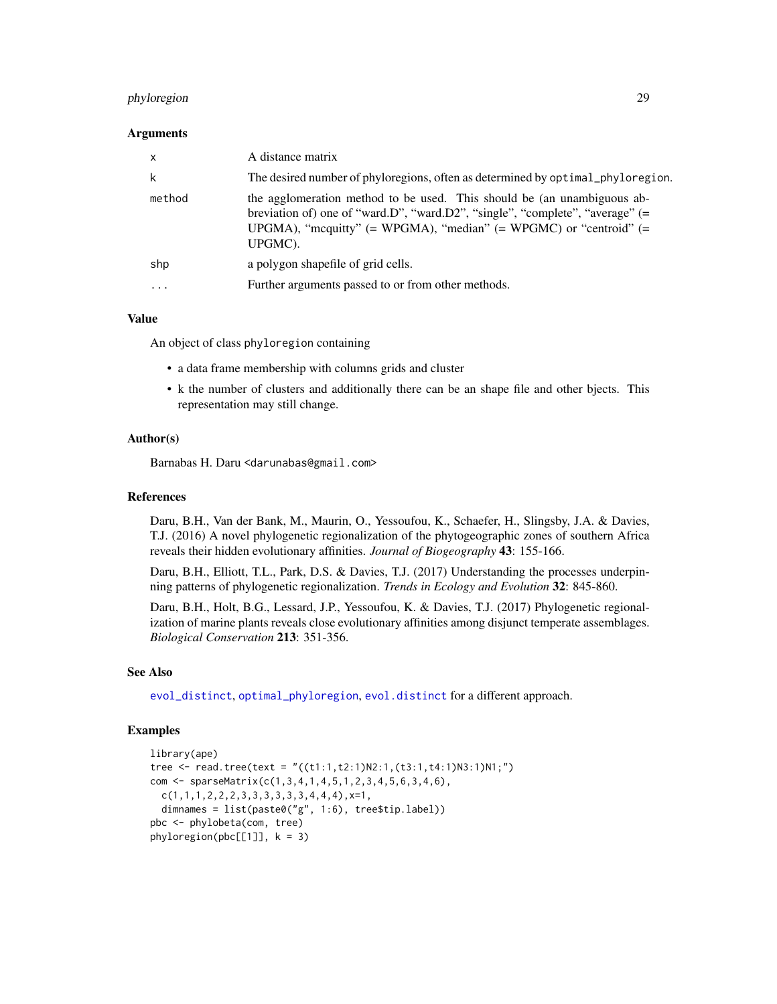## <span id="page-28-0"></span>phyloregion 29

#### Arguments

| $\boldsymbol{\mathsf{x}}$ | A distance matrix                                                                                                                                                                                                                               |
|---------------------------|-------------------------------------------------------------------------------------------------------------------------------------------------------------------------------------------------------------------------------------------------|
| k                         | The desired number of phyloregions, often as determined by optimal_phyloregion.                                                                                                                                                                 |
| method                    | the agglomeration method to be used. This should be (an unambiguous ab-<br>breviation of) one of "ward.D", "ward.D2", "single", "complete", "average" (=<br>UPGMA), "mcquitty" $(= WPGMA)$ , "median" $(= WPGMC)$ or "centroid" $(=$<br>UPGMC). |
| shp                       | a polygon shapefile of grid cells.                                                                                                                                                                                                              |
| $\cdot$ $\cdot$ $\cdot$   | Further arguments passed to or from other methods.                                                                                                                                                                                              |

#### Value

An object of class phyloregion containing

- a data frame membership with columns grids and cluster
- k the number of clusters and additionally there can be an shape file and other bjects. This representation may still change.

## Author(s)

Barnabas H. Daru <darunabas@gmail.com>

#### References

Daru, B.H., Van der Bank, M., Maurin, O., Yessoufou, K., Schaefer, H., Slingsby, J.A. & Davies, T.J. (2016) A novel phylogenetic regionalization of the phytogeographic zones of southern Africa reveals their hidden evolutionary affinities. *Journal of Biogeography* 43: 155-166.

Daru, B.H., Elliott, T.L., Park, D.S. & Davies, T.J. (2017) Understanding the processes underpinning patterns of phylogenetic regionalization. *Trends in Ecology and Evolution* 32: 845-860.

Daru, B.H., Holt, B.G., Lessard, J.P., Yessoufou, K. & Davies, T.J. (2017) Phylogenetic regionalization of marine plants reveals close evolutionary affinities among disjunct temperate assemblages. *Biological Conservation* 213: 351-356.

#### See Also

[evol\\_distinct](#page-12-1), [optimal\\_phyloregion](#page-20-1), [evol.distinct](#page-0-0) for a different approach.

```
library(ape)
tree <- read.tree(text = "((t1:1,t2:1)N2:1,(t3:1,t4:1)N3:1)N1;")
com <- sparseMatrix(c(1,3,4,1,4,5,1,2,3,4,5,6,3,4,6),
 c(1,1,1,2,2,2,3,3,3,3,3,3,4,4,4),x=1,
 dimnames = list(paste0("g", 1:6), tree$tip.label))
pbc <- phylobeta(com, tree)
phyloregion(pbc[[1]], k = 3)
```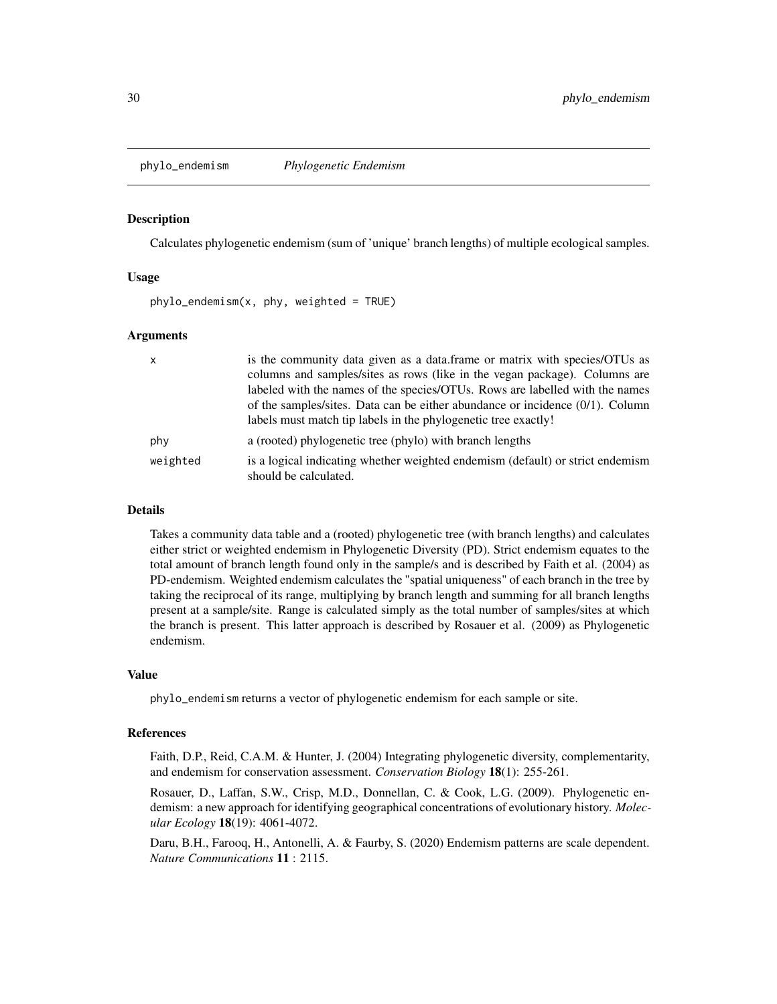<span id="page-29-0"></span>

Calculates phylogenetic endemism (sum of 'unique' branch lengths) of multiple ecological samples.

#### Usage

phylo\_endemism(x, phy, weighted = TRUE)

#### Arguments

| $\mathsf{x}$ | is the community data given as a data frame or matrix with species/OTUs as                              |
|--------------|---------------------------------------------------------------------------------------------------------|
|              | columns and samples/sites as rows (like in the vegan package). Columns are                              |
|              | labeled with the names of the species/OTUs. Rows are labelled with the names                            |
|              | of the samples/sites. Data can be either abundance or incidence $(0/1)$ . Column                        |
|              | labels must match tip labels in the phylogenetic tree exactly!                                          |
| phy          | a (rooted) phylogenetic tree (phylo) with branch lengths                                                |
| weighted     | is a logical indicating whether weighted endemism (default) or strict endemism<br>should be calculated. |

## Details

Takes a community data table and a (rooted) phylogenetic tree (with branch lengths) and calculates either strict or weighted endemism in Phylogenetic Diversity (PD). Strict endemism equates to the total amount of branch length found only in the sample/s and is described by Faith et al. (2004) as PD-endemism. Weighted endemism calculates the "spatial uniqueness" of each branch in the tree by taking the reciprocal of its range, multiplying by branch length and summing for all branch lengths present at a sample/site. Range is calculated simply as the total number of samples/sites at which the branch is present. This latter approach is described by Rosauer et al. (2009) as Phylogenetic endemism.

#### Value

phylo\_endemism returns a vector of phylogenetic endemism for each sample or site.

#### References

Faith, D.P., Reid, C.A.M. & Hunter, J. (2004) Integrating phylogenetic diversity, complementarity, and endemism for conservation assessment. *Conservation Biology* 18(1): 255-261.

Rosauer, D., Laffan, S.W., Crisp, M.D., Donnellan, C. & Cook, L.G. (2009). Phylogenetic endemism: a new approach for identifying geographical concentrations of evolutionary history. *Molecular Ecology* 18(19): 4061-4072.

Daru, B.H., Farooq, H., Antonelli, A. & Faurby, S. (2020) Endemism patterns are scale dependent. *Nature Communications* 11 : 2115.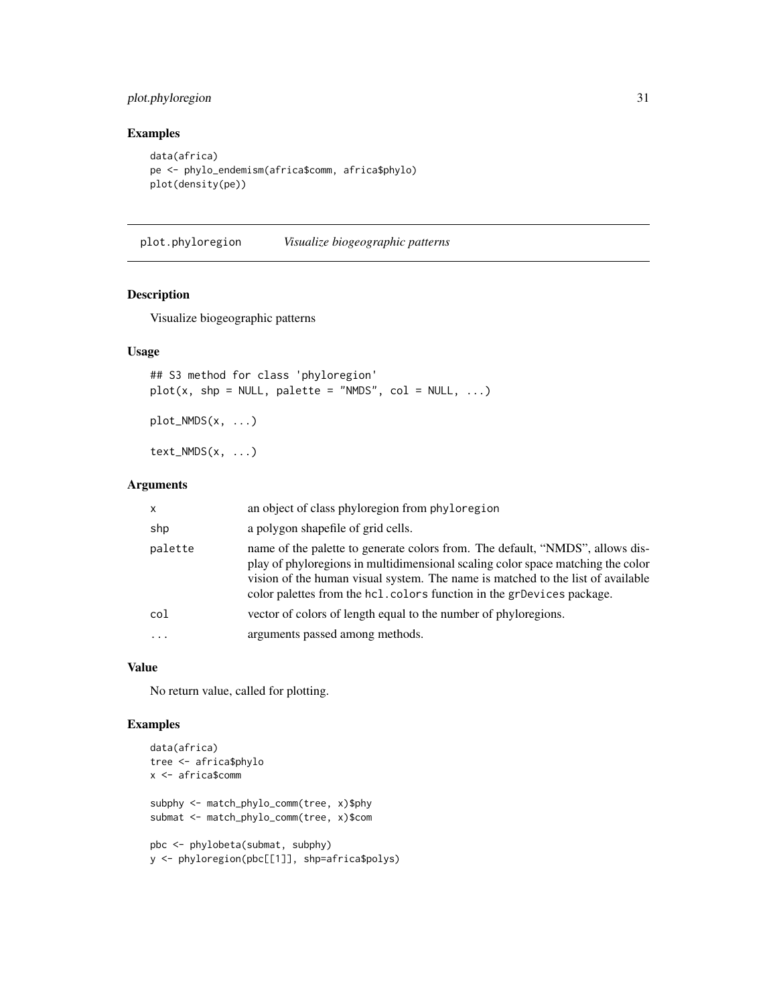## <span id="page-30-0"></span>plot.phyloregion 31

## Examples

```
data(africa)
pe <- phylo_endemism(africa$comm, africa$phylo)
plot(density(pe))
```
plot.phyloregion *Visualize biogeographic patterns*

## Description

Visualize biogeographic patterns

#### Usage

## S3 method for class 'phyloregion'  $plot(x, shp = NULL, platete = "NMDS", col = NULL, ...)$ 

plot\_NMDS(x, ...)

text\_NMDS(x, ...)

#### Arguments

| X        | an object of class phyloregion from phyloregion                                                                                                                                                                                                                                                                               |
|----------|-------------------------------------------------------------------------------------------------------------------------------------------------------------------------------------------------------------------------------------------------------------------------------------------------------------------------------|
| shp      | a polygon shapefile of grid cells.                                                                                                                                                                                                                                                                                            |
| palette  | name of the palette to generate colors from. The default, "NMDS", allows dis-<br>play of phyloregions in multidimensional scaling color space matching the color<br>vision of the human visual system. The name is matched to the list of available<br>color palettes from the hcl. colors function in the grDevices package. |
| col      | vector of colors of length equal to the number of phyloregions.                                                                                                                                                                                                                                                               |
| $\ddots$ | arguments passed among methods.                                                                                                                                                                                                                                                                                               |

## Value

No return value, called for plotting.

```
data(africa)
tree <- africa$phylo
x <- africa$comm
subphy <- match_phylo_comm(tree, x)$phy
submat <- match_phylo_comm(tree, x)$com
pbc <- phylobeta(submat, subphy)
y <- phyloregion(pbc[[1]], shp=africa$polys)
```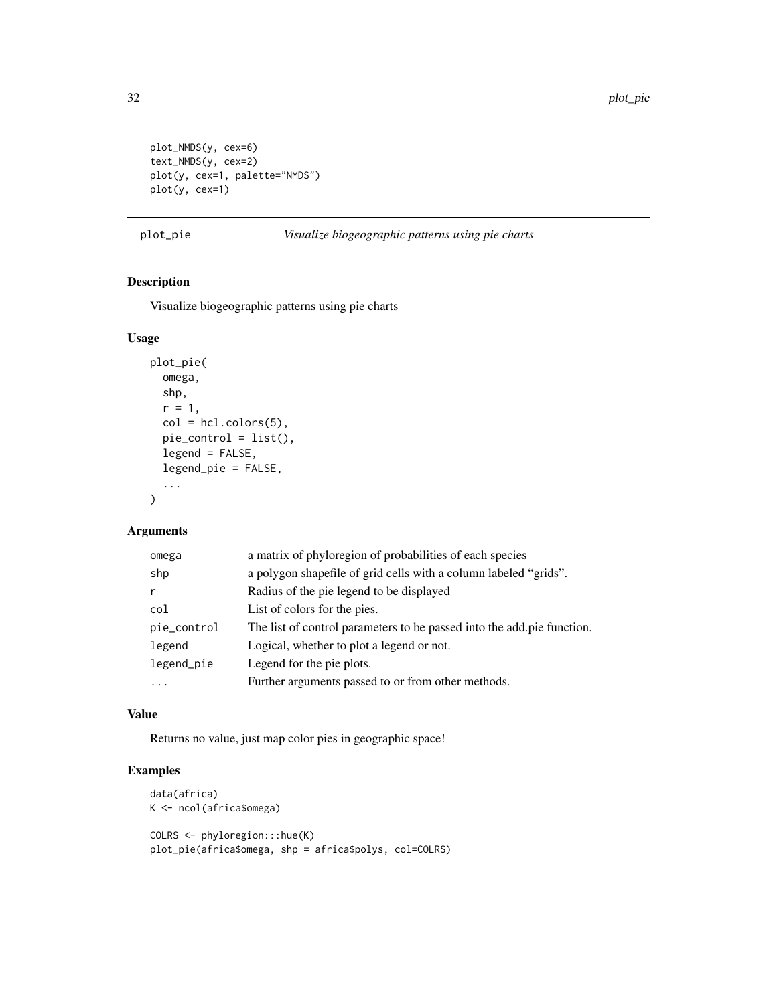```
plot_NMDS(y, cex=6)
text_NMDS(y, cex=2)
plot(y, cex=1, palette="NMDS")
plot(y, cex=1)
```
#### plot\_pie *Visualize biogeographic patterns using pie charts*

## Description

Visualize biogeographic patterns using pie charts

#### Usage

```
plot_pie(
  omega,
  shp,
  r = 1,
  col = hcl.close(5),
  pie_control = list(),
  legend = FALSE,
  legend_pie = FALSE,
  ...
\mathcal{L}
```
## Arguments

| a matrix of phyloregion of probabilities of each species               |
|------------------------------------------------------------------------|
| a polygon shapefile of grid cells with a column labeled "grids".       |
| Radius of the pie legend to be displayed                               |
| List of colors for the pies.                                           |
| The list of control parameters to be passed into the add pie function. |
| Logical, whether to plot a legend or not.                              |
| Legend for the pie plots.                                              |
| Further arguments passed to or from other methods.                     |
|                                                                        |

## Value

Returns no value, just map color pies in geographic space!

```
data(africa)
K <- ncol(africa$omega)
COLRS <- phyloregion:::hue(K)
plot_pie(africa$omega, shp = africa$polys, col=COLRS)
```
<span id="page-31-0"></span>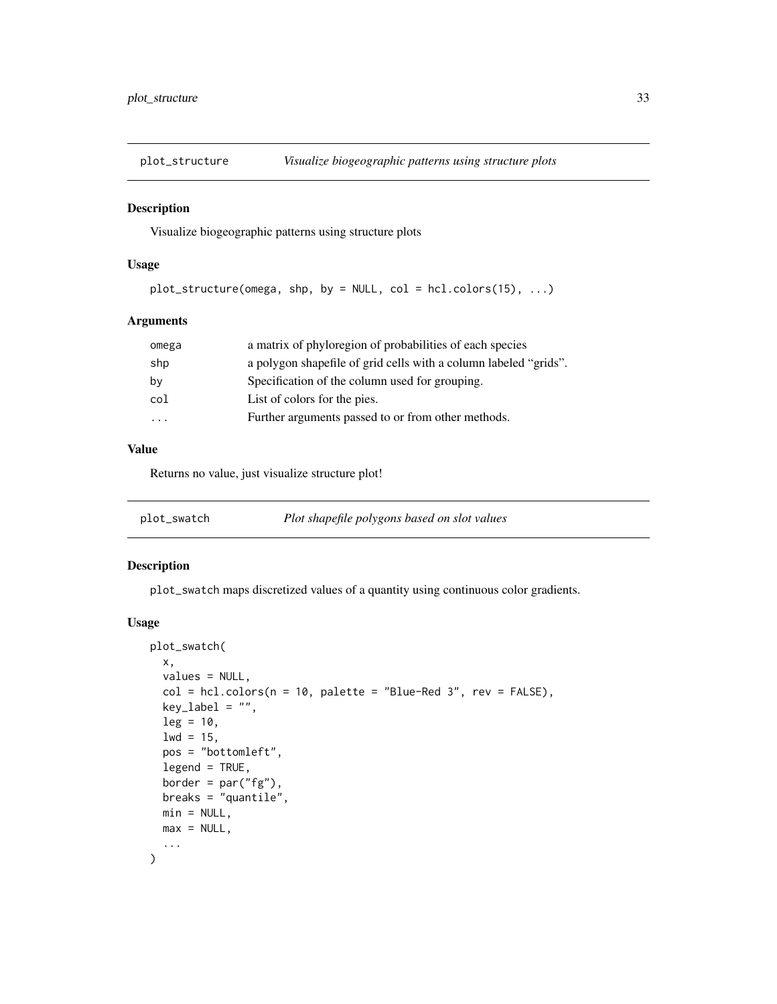<span id="page-32-0"></span>

Visualize biogeographic patterns using structure plots

## Usage

```
plot\_structure(omega, shp, by = NULL, col = hcl.colors(15), ...)
```
## Arguments

| omega                   | a matrix of phyloregion of probabilities of each species         |
|-------------------------|------------------------------------------------------------------|
| shp                     | a polygon shapefile of grid cells with a column labeled "grids". |
| by                      | Specification of the column used for grouping.                   |
| col                     | List of colors for the pies.                                     |
| $\cdot$ $\cdot$ $\cdot$ | Further arguments passed to or from other methods.               |
|                         |                                                                  |

## Value

Returns no value, just visualize structure plot!

## Description

plot\_swatch maps discretized values of a quantity using continuous color gradients.

#### Usage

```
plot_swatch(
 x,
 values = NULL,
 col = hcl.close(n = 10, palette = "Blue-Red 3", rev = FALSE),key_label = "",
 leg = 10,1wd = 15,
 pos = "bottomleft",
 legend = TRUE,
 border = par("fg"),
 breaks = "quantile",
 min = NULL,max = NULL,...
)
```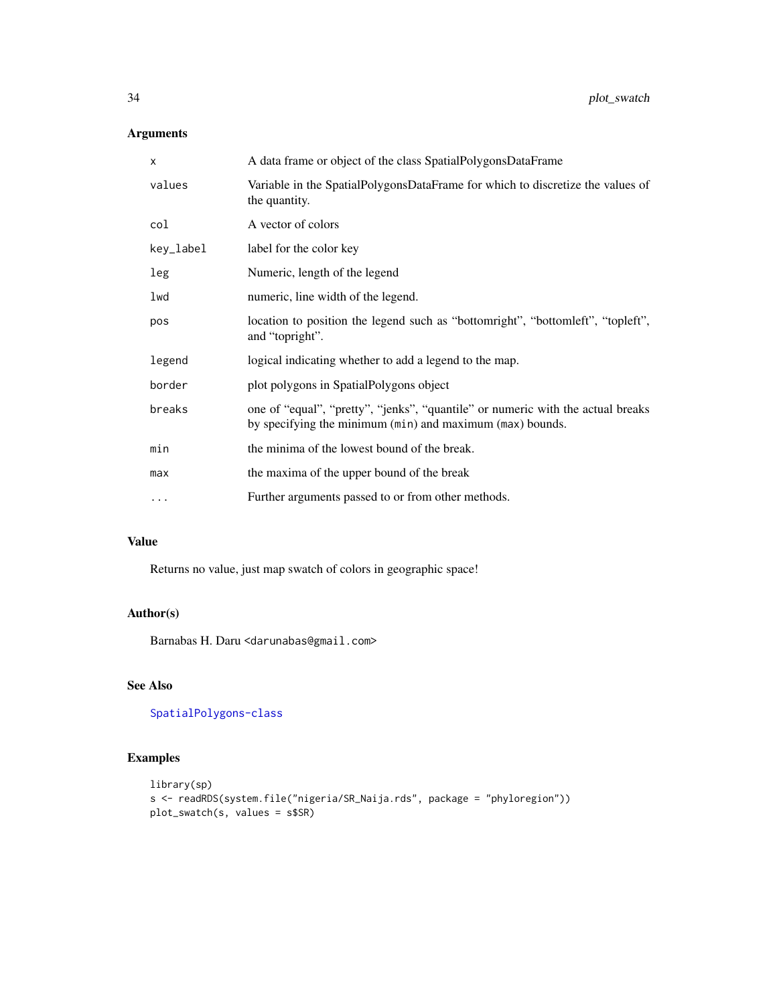## Arguments

| X         | A data frame or object of the class SpatialPolygonsDataFrame                                                                                 |
|-----------|----------------------------------------------------------------------------------------------------------------------------------------------|
| values    | Variable in the SpatialPolygonsDataFrame for which to discretize the values of<br>the quantity.                                              |
| col       | A vector of colors                                                                                                                           |
| key_label | label for the color key                                                                                                                      |
| leg       | Numeric, length of the legend                                                                                                                |
| lwd       | numeric, line width of the legend.                                                                                                           |
| pos       | location to position the legend such as "bottomright", "bottomleft", "topleft",<br>and "topright".                                           |
| legend    | logical indicating whether to add a legend to the map.                                                                                       |
| border    | plot polygons in SpatialPolygons object                                                                                                      |
| breaks    | one of "equal", "pretty", "jenks", "quantile" or numeric with the actual breaks<br>by specifying the minimum (min) and maximum (max) bounds. |
| min       | the minima of the lowest bound of the break.                                                                                                 |
| max       | the maxima of the upper bound of the break                                                                                                   |
| $\cdots$  | Further arguments passed to or from other methods.                                                                                           |
|           |                                                                                                                                              |

## Value

Returns no value, just map swatch of colors in geographic space!

## Author(s)

Barnabas H. Daru <darunabas@gmail.com>

## See Also

[SpatialPolygons-class](#page-0-0)

```
library(sp)
s <- readRDS(system.file("nigeria/SR_Naija.rds", package = "phyloregion"))
plot_swatch(s, values = s$SR)
```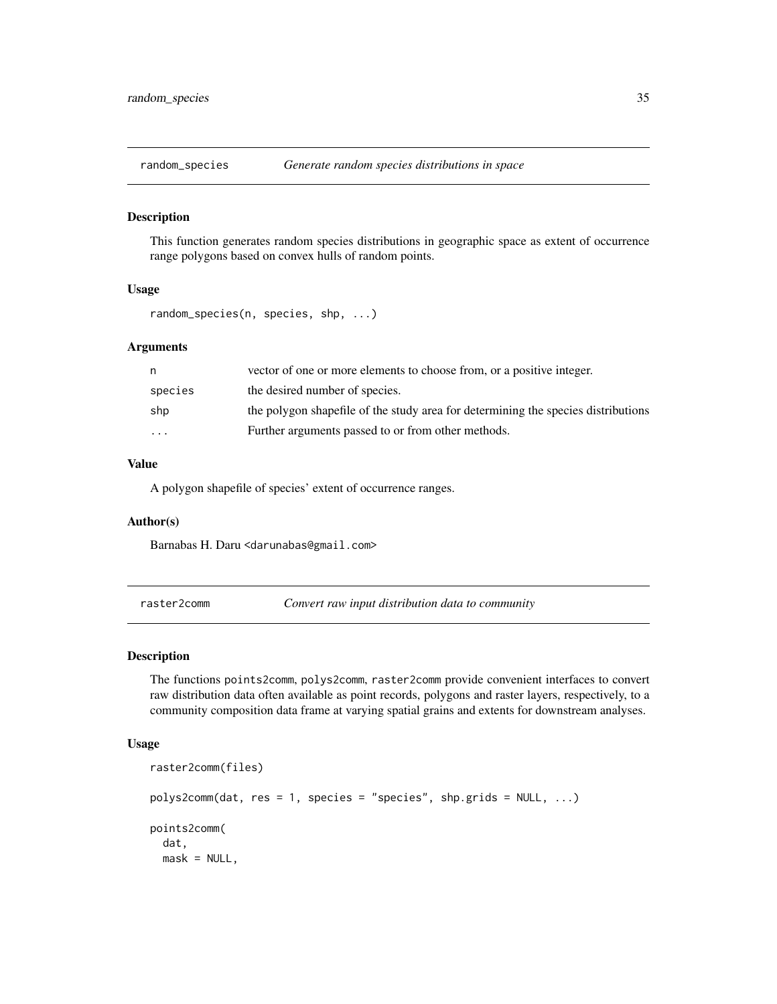<span id="page-34-0"></span>

This function generates random species distributions in geographic space as extent of occurrence range polygons based on convex hulls of random points.

#### Usage

random\_species(n, species, shp, ...)

#### Arguments

| n       | vector of one or more elements to choose from, or a positive integer.             |
|---------|-----------------------------------------------------------------------------------|
| species | the desired number of species.                                                    |
| shp     | the polygon shapefile of the study area for determining the species distributions |
| $\cdot$ | Further arguments passed to or from other methods.                                |

#### Value

A polygon shapefile of species' extent of occurrence ranges.

## Author(s)

Barnabas H. Daru <darunabas@gmail.com>

raster2comm *Convert raw input distribution data to community*

## Description

The functions points2comm, polys2comm, raster2comm provide convenient interfaces to convert raw distribution data often available as point records, polygons and raster layers, respectively, to a community composition data frame at varying spatial grains and extents for downstream analyses.

#### Usage

```
raster2comm(files)
polys2comm(data, res = 1, species = "species", shp.grids = NULL, ...)points2comm(
 dat,
 mask = NULL,
```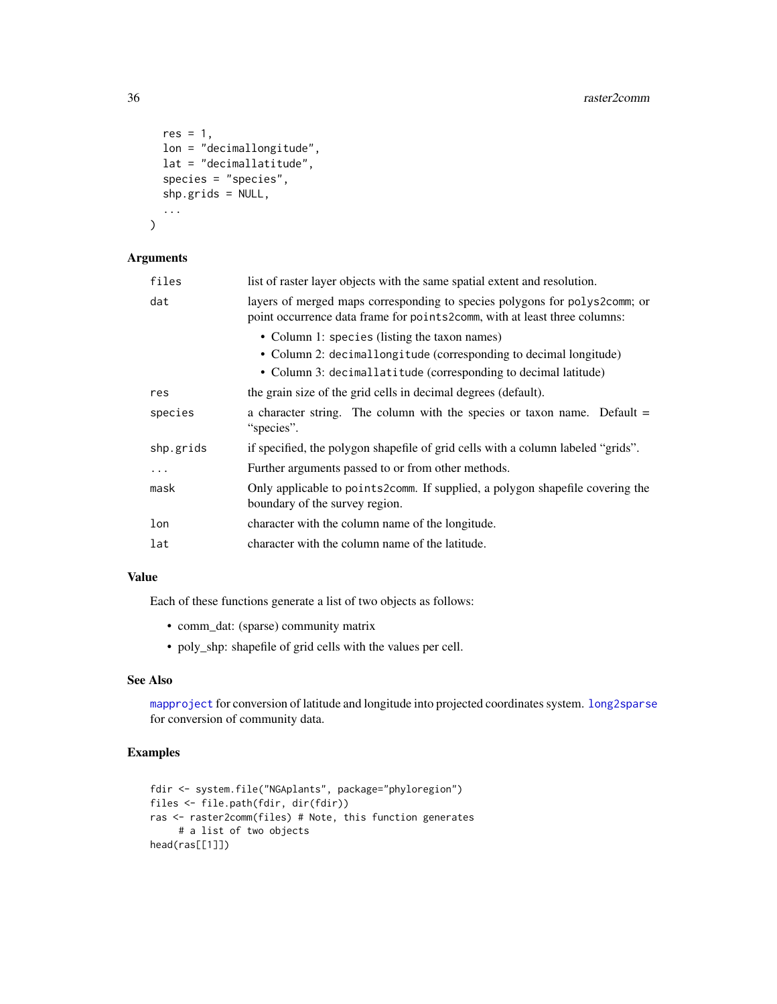```
res = 1,
 lon = "decimallongitude",
 lat = "decimallatitude",
  species = "species",
  shp.grids = NULL,
  ...
)
```
## Arguments

| files     | list of raster layer objects with the same spatial extent and resolution.                                                                                |
|-----------|----------------------------------------------------------------------------------------------------------------------------------------------------------|
| dat       | layers of merged maps corresponding to species polygons for polys2comm; or<br>point occurrence data frame for point s2comm, with at least three columns: |
|           | • Column 1: species (listing the taxon names)                                                                                                            |
|           | • Column 2: decimallongitude (corresponding to decimal longitude)                                                                                        |
|           | • Column 3: decimallatitude (corresponding to decimal latitude)                                                                                          |
| res       | the grain size of the grid cells in decimal degrees (default).                                                                                           |
| species   | a character string. The column with the species or taxon name. Default $=$<br>"species".                                                                 |
| shp.grids | if specified, the polygon shapefile of grid cells with a column labeled "grids".                                                                         |
| $\cdots$  | Further arguments passed to or from other methods.                                                                                                       |
| mask      | Only applicable to points2comm. If supplied, a polygon shapefile covering the<br>boundary of the survey region.                                          |
| lon       | character with the column name of the longitude.                                                                                                         |
| lat       | character with the column name of the latitude.                                                                                                          |

## Value

Each of these functions generate a list of two objects as follows:

- comm\_dat: (sparse) community matrix
- poly\_shp: shapefile of grid cells with the values per cell.

## See Also

[mapproject](#page-0-0) for conversion of latitude and longitude into projected coordinates system. [long2sparse](#page-16-1) for conversion of community data.

```
fdir <- system.file("NGAplants", package="phyloregion")
files <- file.path(fdir, dir(fdir))
ras <- raster2comm(files) # Note, this function generates
    # a list of two objects
head(ras[[1]])
```
<span id="page-35-0"></span>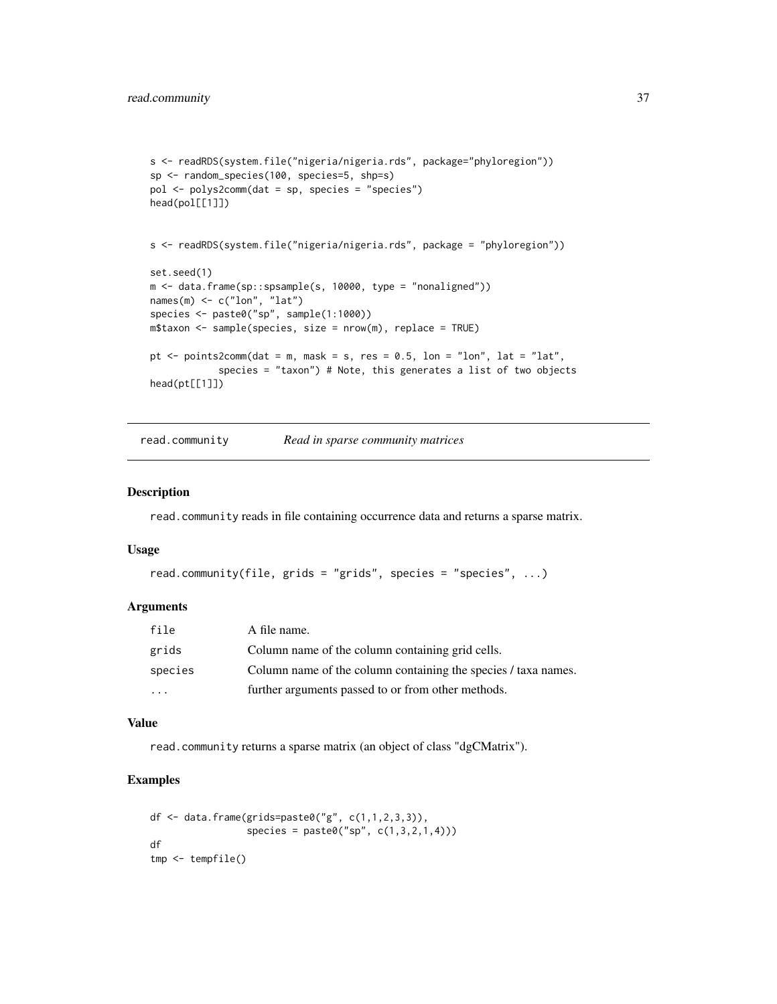```
s <- readRDS(system.file("nigeria/nigeria.rds", package="phyloregion"))
sp <- random_species(100, species=5, shp=s)
pol <- polys2comm(dat = sp, species = "species")
head(pol[[1]])
s <- readRDS(system.file("nigeria/nigeria.rds", package = "phyloregion"))
set.seed(1)
m <- data.frame(sp::spsample(s, 10000, type = "nonaligned"))
names(m) \leq c("lon", "lat")
species <- paste0("sp", sample(1:1000))
m$taxon <- sample(species, size = nrow(m), replace = TRUE)
pt \le points2comm(dat = m, mask = s, res = 0.5, lon = "lon", lat = "lat",
            species = "taxon") # Note, this generates a list of two objects
head(pt[[1]])
```
<span id="page-36-1"></span>read.community *Read in sparse community matrices*

#### Description

read.community reads in file containing occurrence data and returns a sparse matrix.

#### Usage

```
read.community(file, grids = "grids", species = "species", ...)
```
#### Arguments

| file    | A file name.                                                   |
|---------|----------------------------------------------------------------|
| grids   | Column name of the column containing grid cells.               |
| species | Column name of the column containing the species / taxa names. |
| $\cdot$ | further arguments passed to or from other methods.             |

#### Value

read.community returns a sparse matrix (an object of class "dgCMatrix").

```
df <- data.frame(grids=paste0("g", c(1,1,2,3,3)),
                 species = paste0("sp", c(1,3,2,1,4)))df
tmp <- tempfile()
```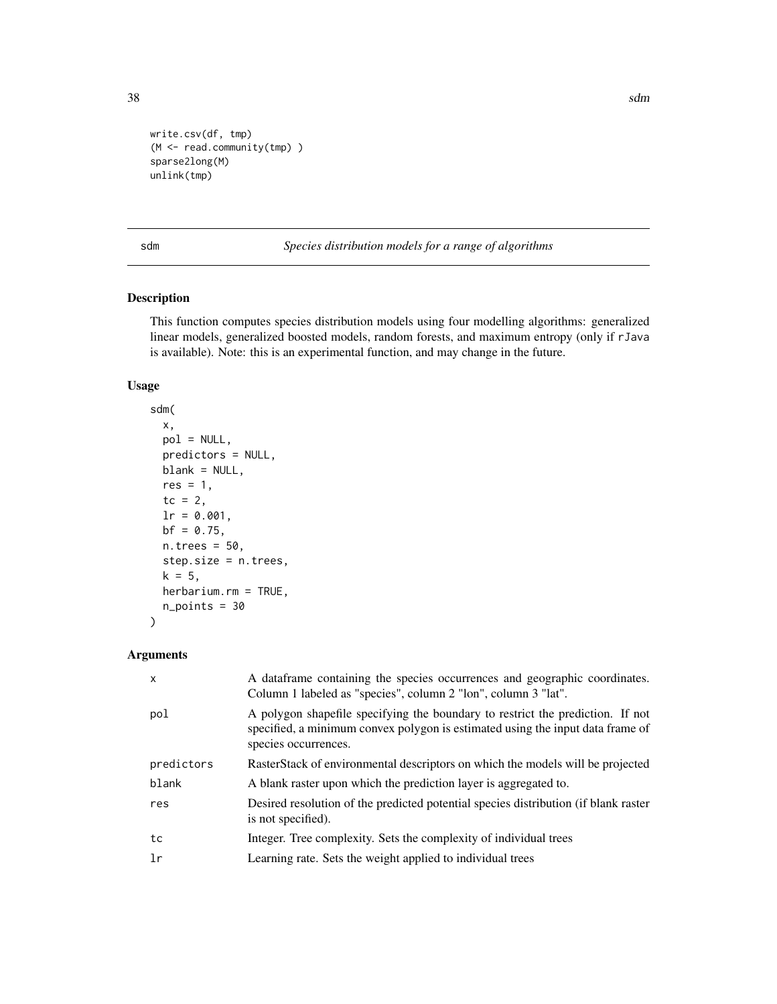```
write.csv(df, tmp)
(M <- read.community(tmp) )
sparse2long(M)
unlink(tmp)
```
sdm *Species distribution models for a range of algorithms*

## Description

This function computes species distribution models using four modelling algorithms: generalized linear models, generalized boosted models, random forests, and maximum entropy (only if rJava is available). Note: this is an experimental function, and may change in the future.

## Usage

```
sdm(
 x,
 pol = NULL,
 predictors = NULL,
 blank = NULL,res = 1,
  tc = 2,
  lr = 0.001,bf = 0.75,
 n.trees = 50,
  step.size = n.trees,
 k = 5,
 herbarium.rm = TRUE,
 n_points = 30
\mathcal{E}
```
## Arguments

| $\mathsf{x}$ | A dataframe containing the species occurrences and geographic coordinates.<br>Column 1 labeled as "species", column 2 "lon", column 3 "lat".                                             |
|--------------|------------------------------------------------------------------------------------------------------------------------------------------------------------------------------------------|
| pol          | A polygon shapefile specifying the boundary to restrict the prediction. If not<br>specified, a minimum convex polygon is estimated using the input data frame of<br>species occurrences. |
| predictors   | RasterStack of environmental descriptors on which the models will be projected                                                                                                           |
| blank        | A blank raster upon which the prediction layer is aggregated to.                                                                                                                         |
| res          | Desired resolution of the predicted potential species distribution (if blank raster<br>is not specified).                                                                                |
| tc           | Integer. Tree complexity. Sets the complexity of individual trees                                                                                                                        |
| 1r           | Learning rate. Sets the weight applied to individual trees                                                                                                                               |

<span id="page-37-0"></span>38 sdm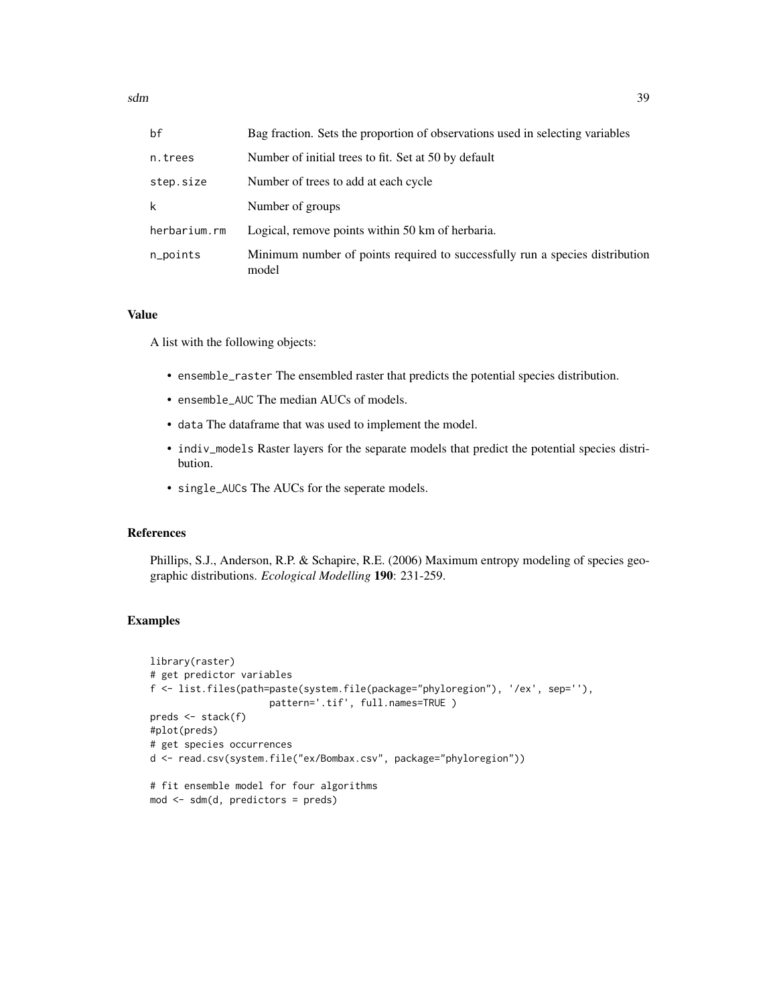| bf           | Bag fraction. Sets the proportion of observations used in selecting variables         |
|--------------|---------------------------------------------------------------------------------------|
| n.trees      | Number of initial trees to fit. Set at 50 by default                                  |
| step.size    | Number of trees to add at each cycle                                                  |
| k            | Number of groups                                                                      |
| herbarium.rm | Logical, remove points within 50 km of herbaria.                                      |
| n_points     | Minimum number of points required to successfully run a species distribution<br>model |

#### Value

A list with the following objects:

- ensemble\_raster The ensembled raster that predicts the potential species distribution.
- ensemble\_AUC The median AUCs of models.
- data The dataframe that was used to implement the model.
- indiv\_models Raster layers for the separate models that predict the potential species distribution.
- single\_AUCs The AUCs for the seperate models.

## References

Phillips, S.J., Anderson, R.P. & Schapire, R.E. (2006) Maximum entropy modeling of species geographic distributions. *Ecological Modelling* 190: 231-259.

## Examples

```
library(raster)
# get predictor variables
f <- list.files(path=paste(system.file(package="phyloregion"), '/ex', sep=''),
                     pattern='.tif', full.names=TRUE )
preds <- stack(f)
#plot(preds)
# get species occurrences
d <- read.csv(system.file("ex/Bombax.csv", package="phyloregion"))
# fit ensemble model for four algorithms
```
mod <- sdm(d, predictors = preds)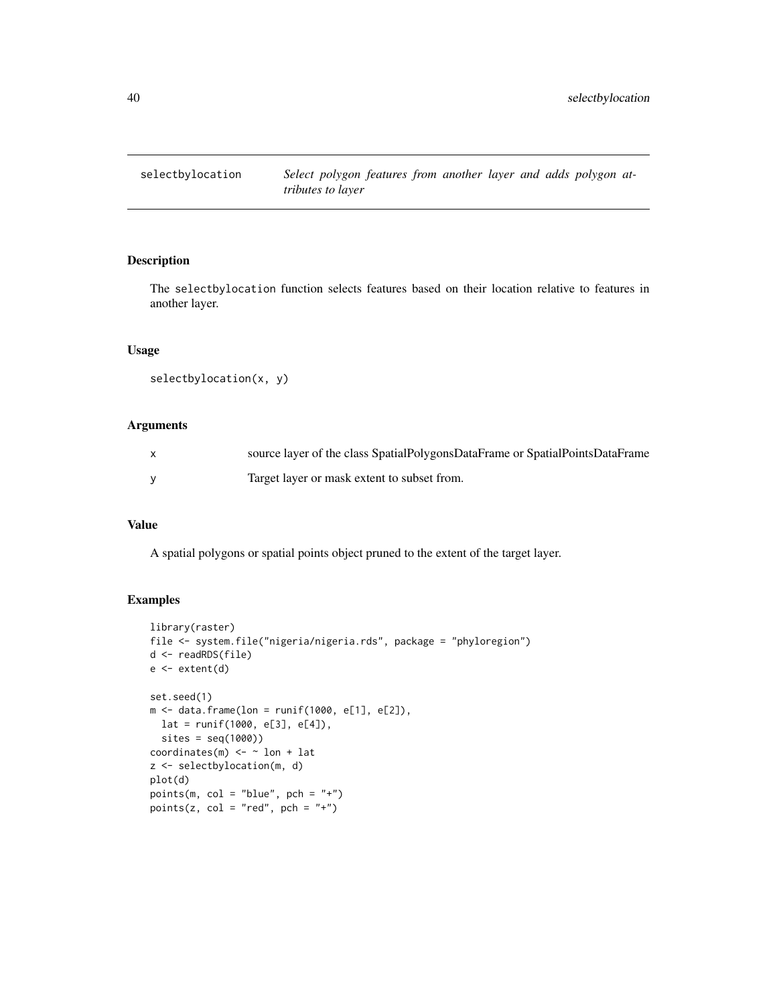<span id="page-39-0"></span>

The selectbylocation function selects features based on their location relative to features in another layer.

#### Usage

```
selectbylocation(x, y)
```
## Arguments

| source layer of the class SpatialPolygonsDataFrame or SpatialPointsDataFrame |
|------------------------------------------------------------------------------|
| Target layer or mask extent to subset from.                                  |

#### Value

A spatial polygons or spatial points object pruned to the extent of the target layer.

```
library(raster)
file <- system.file("nigeria/nigeria.rds", package = "phyloregion")
d <- readRDS(file)
e <- extent(d)
set.seed(1)
m <- data.frame(lon = runif(1000, e[1], e[2]),
 lat = runif(1000, e[3], e[4]),
  sites = seq(1000))
coordinates(m) <- \sim lon + lat
z <- selectbylocation(m, d)
plot(d)
points(m, col = "blue", pch = "+")points(z, col = "red", pch = "+")
```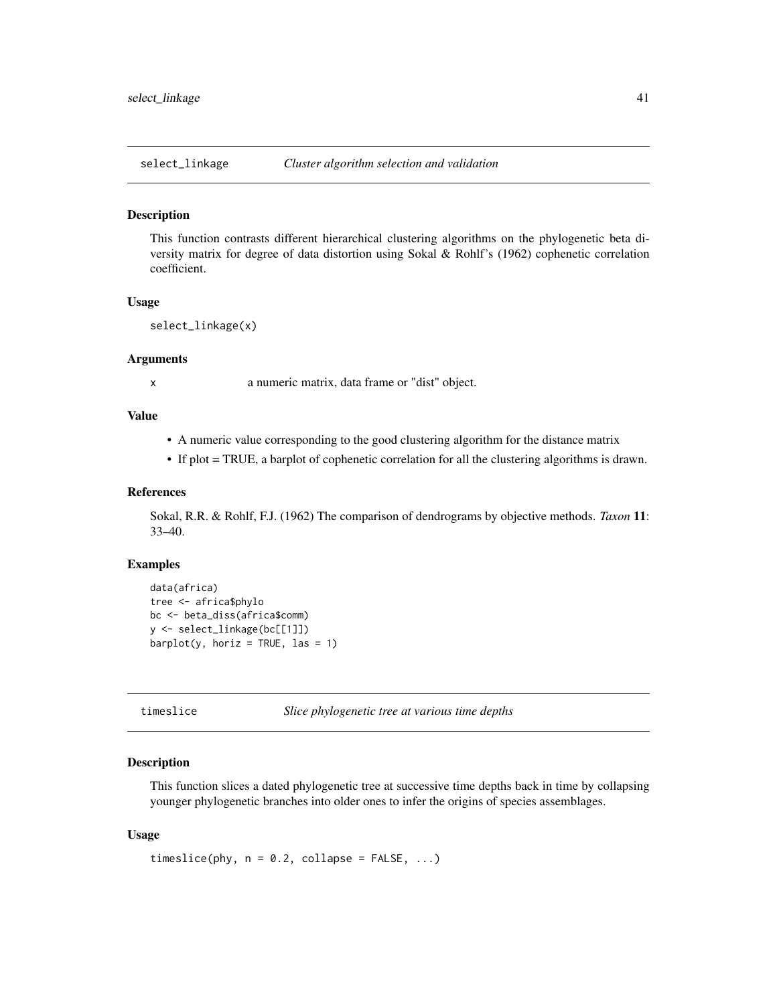<span id="page-40-0"></span>

This function contrasts different hierarchical clustering algorithms on the phylogenetic beta diversity matrix for degree of data distortion using Sokal & Rohlf's (1962) cophenetic correlation coefficient.

#### Usage

```
select_linkage(x)
```
#### Arguments

x a numeric matrix, data frame or "dist" object.

## Value

- A numeric value corresponding to the good clustering algorithm for the distance matrix
- If plot = TRUE, a barplot of cophenetic correlation for all the clustering algorithms is drawn.

#### References

Sokal, R.R. & Rohlf, F.J. (1962) The comparison of dendrograms by objective methods. *Taxon* 11: 33–40.

#### Examples

```
data(africa)
tree <- africa$phylo
bc <- beta_diss(africa$comm)
y <- select_linkage(bc[[1]])
barplot(y, horiz = TRUE, las = 1)
```
timeslice *Slice phylogenetic tree at various time depths*

#### **Description**

This function slices a dated phylogenetic tree at successive time depths back in time by collapsing younger phylogenetic branches into older ones to infer the origins of species assemblages.

#### Usage

```
timeslice(phy, n = 0.2, collapse = FALSE, ...)
```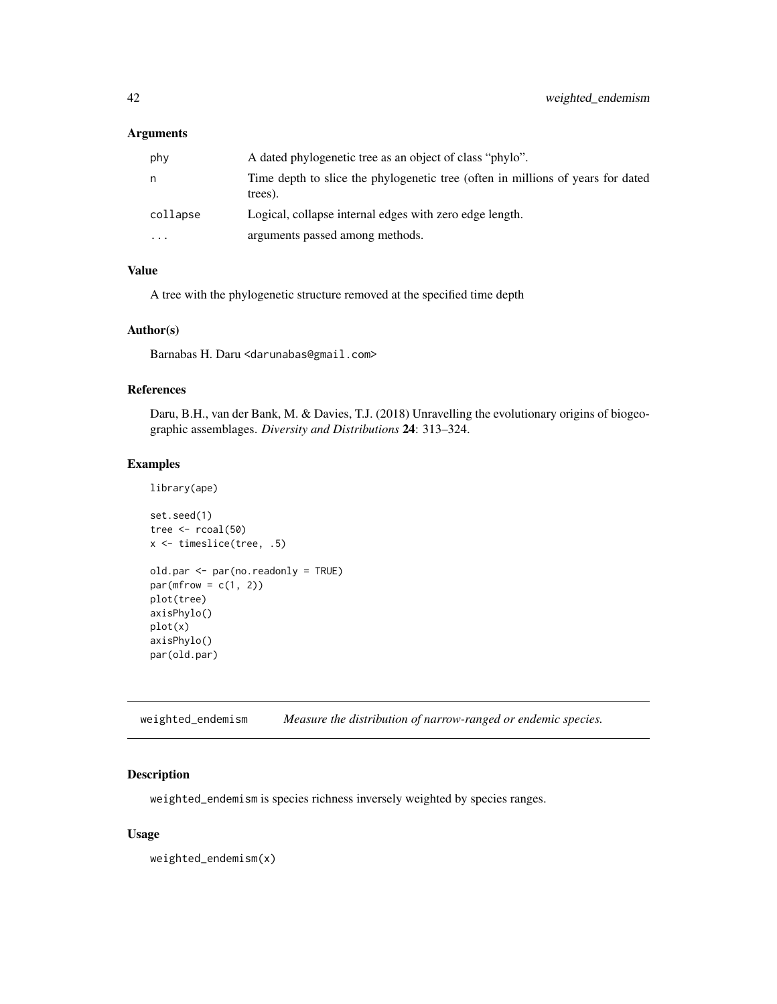#### <span id="page-41-0"></span>Arguments

| phy      | A dated phylogenetic tree as an object of class "phylo".                                   |
|----------|--------------------------------------------------------------------------------------------|
| n        | Time depth to slice the phylogenetic tree (often in millions of years for dated<br>trees). |
| collapse | Logical, collapse internal edges with zero edge length.                                    |
| $\cdots$ | arguments passed among methods.                                                            |

## Value

A tree with the phylogenetic structure removed at the specified time depth

## Author(s)

Barnabas H. Daru <darunabas@gmail.com>

## References

Daru, B.H., van der Bank, M. & Davies, T.J. (2018) Unravelling the evolutionary origins of biogeographic assemblages. *Diversity and Distributions* 24: 313–324.

#### Examples

library(ape)

```
set.seed(1)
tree <- rcoal(50)
x <- timeslice(tree, .5)
old.par <- par(no.readonly = TRUE)
par(mfrow = c(1, 2))plot(tree)
axisPhylo()
plot(x)
axisPhylo()
par(old.par)
```
weighted\_endemism *Measure the distribution of narrow-ranged or endemic species.*

## Description

weighted\_endemism is species richness inversely weighted by species ranges.

#### Usage

weighted\_endemism(x)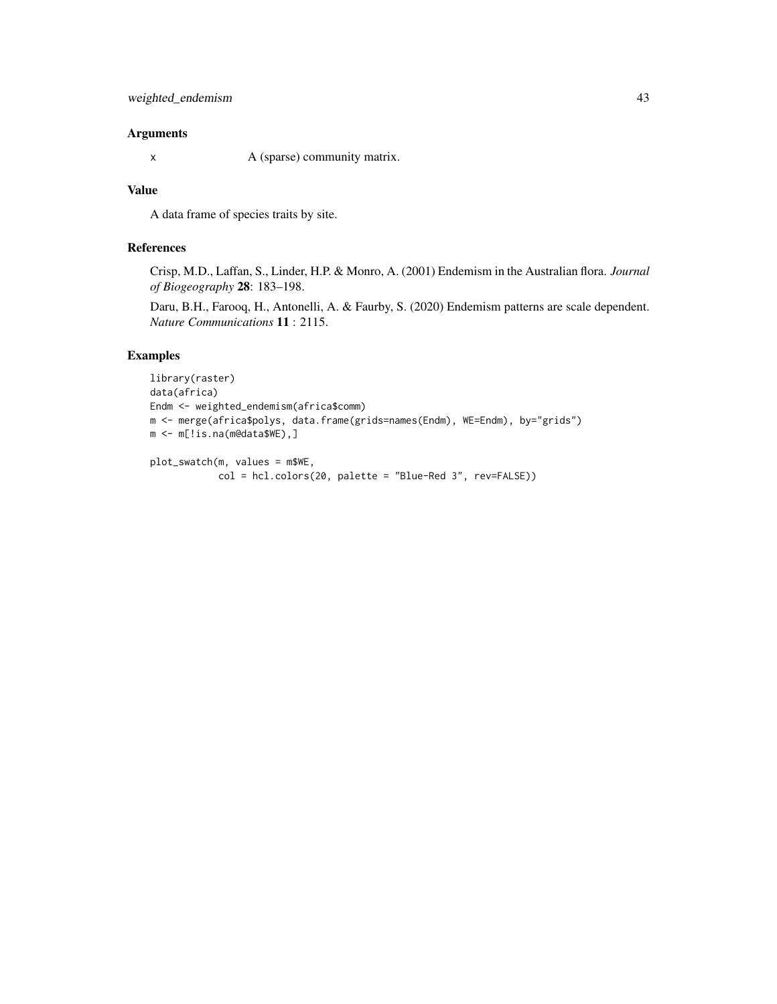## Arguments

x A (sparse) community matrix.

## Value

A data frame of species traits by site.

#### References

Crisp, M.D., Laffan, S., Linder, H.P. & Monro, A. (2001) Endemism in the Australian flora. *Journal of Biogeography* 28: 183–198.

Daru, B.H., Farooq, H., Antonelli, A. & Faurby, S. (2020) Endemism patterns are scale dependent. *Nature Communications* 11 : 2115.

## Examples

```
library(raster)
data(africa)
Endm <- weighted_endemism(africa$comm)
m <- merge(africa$polys, data.frame(grids=names(Endm), WE=Endm), by="grids")
m <- m[!is.na(m@data$WE),]
plot_swatch(m, values = m$WE,
```
col = hcl.colors(20, palette = "Blue-Red 3", rev=FALSE))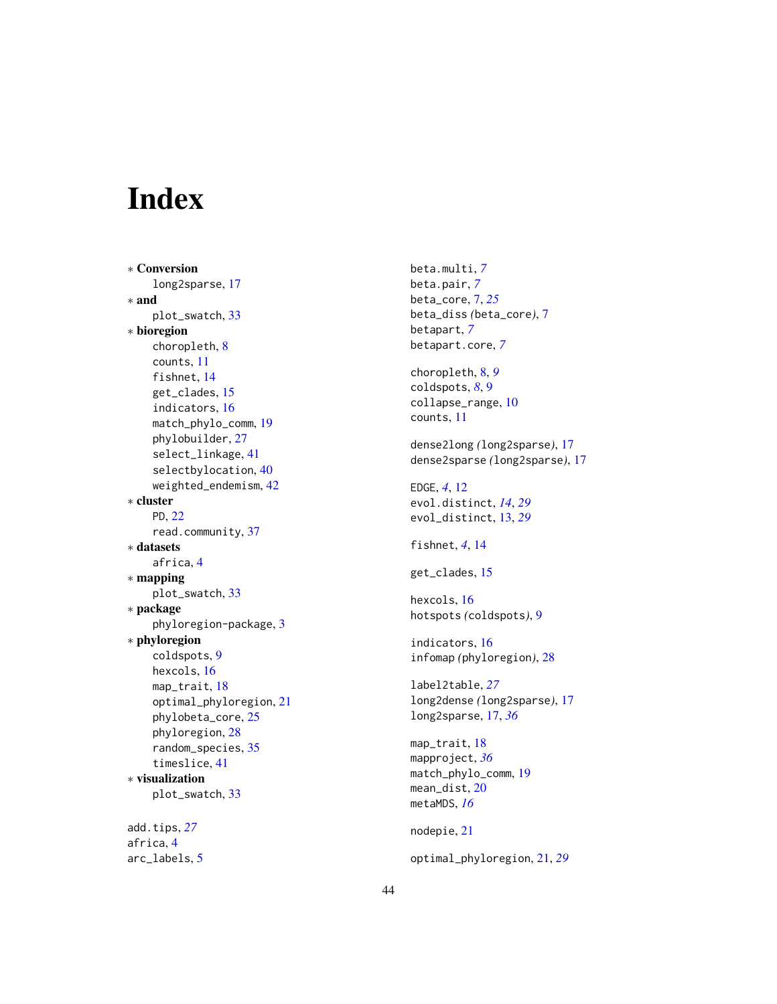# <span id="page-43-0"></span>Index

∗ Conversion long2sparse, [17](#page-16-0) ∗ and plot\_swatch, [33](#page-32-0) ∗ bioregion choropleth, [8](#page-7-0) counts, [11](#page-10-0) fishnet, [14](#page-13-0) get\_clades, [15](#page-14-0) indicators, [16](#page-15-0) match\_phylo\_comm, [19](#page-18-0) phylobuilder, [27](#page-26-0) select\_linkage, [41](#page-40-0) selectbylocation, [40](#page-39-0) weighted\_endemism, [42](#page-41-0) ∗ cluster PD, [22](#page-21-0) read.community, [37](#page-36-0) ∗ datasets africa, [4](#page-3-0) ∗ mapping plot\_swatch, [33](#page-32-0) ∗ package phyloregion-package, [3](#page-2-0) ∗ phyloregion coldspots, [9](#page-8-0) hexcols, [16](#page-15-0) map\_trait, [18](#page-17-0) optimal\_phyloregion, [21](#page-20-0) phylobeta\_core, [25](#page-24-0) phyloregion, [28](#page-27-0) random\_species, [35](#page-34-0) timeslice, [41](#page-40-0) ∗ visualization plot\_swatch, [33](#page-32-0) add.tips, *[27](#page-26-0)*

africa, [4](#page-3-0) arc\_labels, [5](#page-4-0) beta.multi, *[7](#page-6-0)* beta.pair, *[7](#page-6-0)* beta\_core, [7,](#page-6-0) *[25](#page-24-0)* beta\_diss *(*beta\_core*)*, [7](#page-6-0) betapart, *[7](#page-6-0)* betapart.core, *[7](#page-6-0)*

choropleth, [8,](#page-7-0) *[9](#page-8-0)* coldspots, *[8](#page-7-0)*, [9](#page-8-0) collapse\_range, [10](#page-9-0) counts, [11](#page-10-0)

dense2long *(*long2sparse*)*, [17](#page-16-0) dense2sparse *(*long2sparse*)*, [17](#page-16-0)

EDGE, *[4](#page-3-0)*, [12](#page-11-0) evol.distinct, *[14](#page-13-0)*, *[29](#page-28-0)* evol\_distinct, [13,](#page-12-0) *[29](#page-28-0)*

fishnet, *[4](#page-3-0)*, [14](#page-13-0)

get\_clades, [15](#page-14-0)

hexcols, [16](#page-15-0) hotspots *(*coldspots*)*, [9](#page-8-0)

indicators, [16](#page-15-0) infomap *(*phyloregion*)*, [28](#page-27-0)

label2table, *[27](#page-26-0)* long2dense *(*long2sparse*)*, [17](#page-16-0) long2sparse, [17,](#page-16-0) *[36](#page-35-0)*

map\_trait, [18](#page-17-0) mapproject, *[36](#page-35-0)* match\_phylo\_comm, [19](#page-18-0) mean\_dist, [20](#page-19-0) metaMDS, *[16](#page-15-0)*

nodepie, [21](#page-20-0)

optimal\_phyloregion, [21,](#page-20-0) *[29](#page-28-0)*